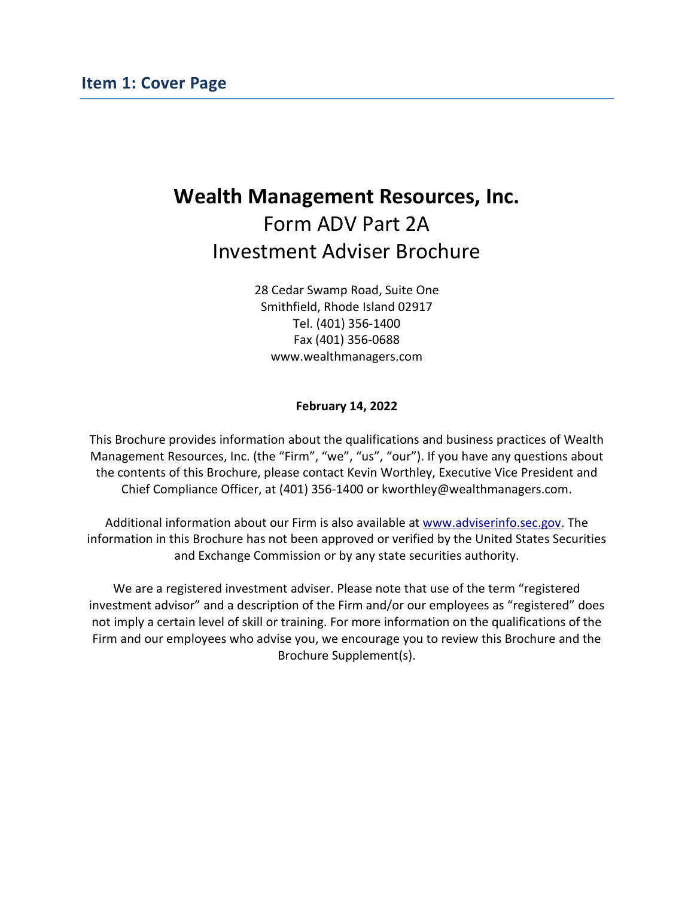# <span id="page-0-0"></span>**Wealth Management Resources, Inc.** Form ADV Part 2A Investment Adviser Brochure

28 Cedar Swamp Road, Suite One Smithfield, Rhode Island 02917 Tel. (401) 356-1400 Fax (401) 356-0688 www.wealthmanagers.com

#### **February 14, 2022**

This Brochure provides information about the qualifications and business practices of Wealth Management Resources, Inc. (the "Firm", "we", "us", "our"). If you have any questions about the contents of this Brochure, please contact Kevin Worthley, Executive Vice President and Chief Compliance Officer, at (401) 356-1400 or kworthley@wealthmanagers.com.

Additional information about our Firm is also available at [www.adviserinfo.sec.gov.](https://adviserinfo.sec.gov/firm/summary/45452) The information in this Brochure has not been approved or verified by the United States Securities and Exchange Commission or by any state securities authority.

We are a registered investment adviser. Please note that use of the term "registered investment advisor" and a description of the Firm and/or our employees as "registered" does not imply a certain level of skill or training. For more information on the qualifications of the Firm and our employees who advise you, we encourage you to review this Brochure and the Brochure Supplement(s).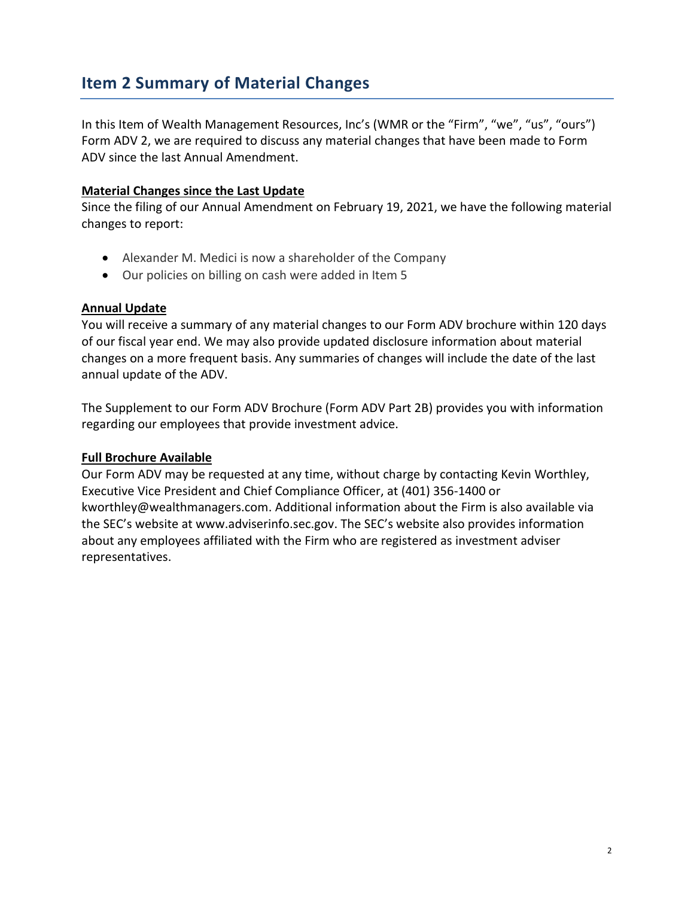# <span id="page-1-0"></span>**Item 2 Summary of Material Changes**

In this Item of Wealth Management Resources, Inc's (WMR or the "Firm", "we", "us", "ours") Form ADV 2, we are required to discuss any material changes that have been made to Form ADV since the last Annual Amendment.

#### **Material Changes since the Last Update**

Since the filing of our Annual Amendment on February 19, 2021, we have the following material changes to report:

- Alexander M. Medici is now a shareholder of the Company
- Our policies on billing on cash were added in Item 5

#### **Annual Update**

You will receive a summary of any material changes to our Form ADV brochure within 120 days of our fiscal year end. We may also provide updated disclosure information about material changes on a more frequent basis. Any summaries of changes will include the date of the last annual update of the ADV.

The Supplement to our Form ADV Brochure (Form ADV Part 2B) provides you with information regarding our employees that provide investment advice.

#### **Full Brochure Available**

Our Form ADV may be requested at any time, without charge by contacting Kevin Worthley, Executive Vice President and Chief Compliance Officer, at (401) 356-1400 or [kworthley@wealthmanagers.com.](mailto:kworthley@wealthmanagers.com) Additional information about the Firm is also available via the SEC's website at [www.adviserinfo.sec.gov.](https://adviserinfo.sec.gov/firm/summary/45452) The SEC's website also provides information about any employees affiliated with the Firm who are registered as investment adviser representatives.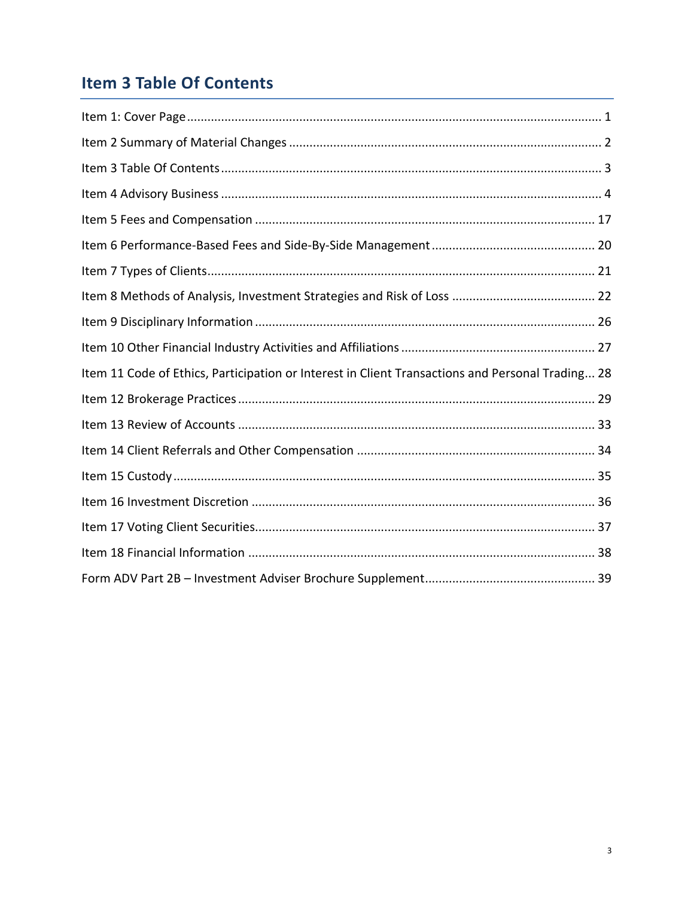# <span id="page-2-0"></span>**Item 3 Table Of Contents**

| Item 11 Code of Ethics, Participation or Interest in Client Transactions and Personal Trading 28 |
|--------------------------------------------------------------------------------------------------|
|                                                                                                  |
|                                                                                                  |
|                                                                                                  |
|                                                                                                  |
|                                                                                                  |
|                                                                                                  |
|                                                                                                  |
|                                                                                                  |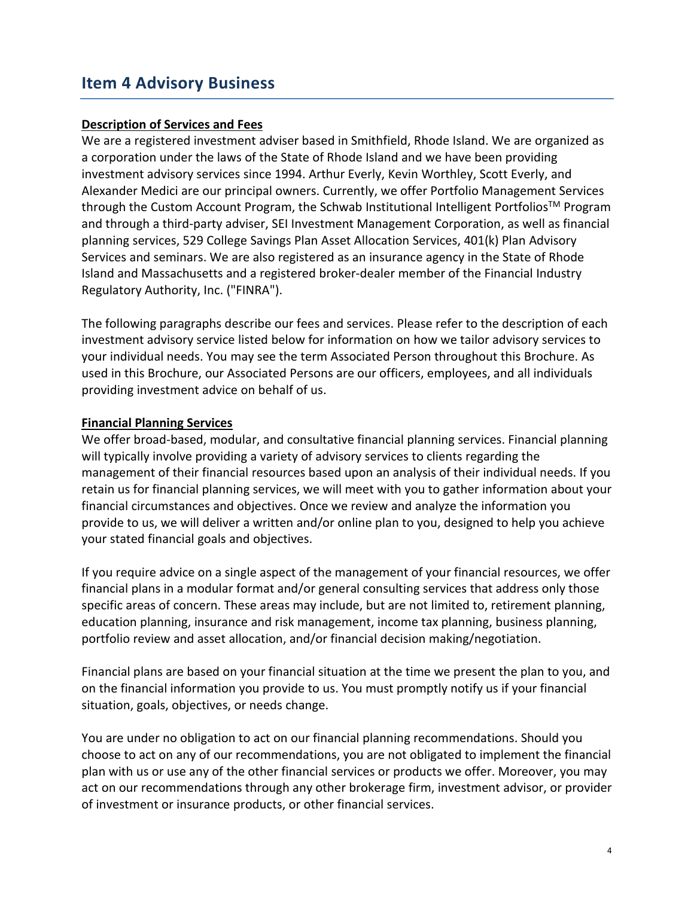### <span id="page-3-0"></span>**Item 4 Advisory Business**

#### **Description of Services and Fees**

We are a registered investment adviser based in Smithfield, Rhode Island. We are organized as a corporation under the laws of the State of Rhode Island and we have been providing investment advisory services since 1994. Arthur Everly, Kevin Worthley, Scott Everly, and Alexander Medici are our principal owners. Currently, we offer Portfolio Management Services through the Custom Account Program, the Schwab Institutional Intelligent Portfolios<sup>™</sup> Program and through a third-party adviser, SEI Investment Management Corporation, as well as financial planning services, 529 College Savings Plan Asset Allocation Services, 401(k) Plan Advisory Services and seminars. We are also registered as an insurance agency in the State of Rhode Island and Massachusetts and a registered broker-dealer member of the Financial Industry Regulatory Authority, Inc. ("FINRA").

The following paragraphs describe our fees and services. Please refer to the description of each investment advisory service listed below for information on how we tailor advisory services to your individual needs. You may see the term Associated Person throughout this Brochure. As used in this Brochure, our Associated Persons are our officers, employees, and all individuals providing investment advice on behalf of us.

#### **Financial Planning Services**

We offer broad-based, modular, and consultative financial planning services. Financial planning will typically involve providing a variety of advisory services to clients regarding the management of their financial resources based upon an analysis of their individual needs. If you retain us for financial planning services, we will meet with you to gather information about your financial circumstances and objectives. Once we review and analyze the information you provide to us, we will deliver a written and/or online plan to you, designed to help you achieve your stated financial goals and objectives.

If you require advice on a single aspect of the management of your financial resources, we offer financial plans in a modular format and/or general consulting services that address only those specific areas of concern. These areas may include, but are not limited to, retirement planning, education planning, insurance and risk management, income tax planning, business planning, portfolio review and asset allocation, and/or financial decision making/negotiation.

Financial plans are based on your financial situation at the time we present the plan to you, and on the financial information you provide to us. You must promptly notify us if your financial situation, goals, objectives, or needs change.

You are under no obligation to act on our financial planning recommendations. Should you choose to act on any of our recommendations, you are not obligated to implement the financial plan with us or use any of the other financial services or products we offer. Moreover, you may act on our recommendations through any other brokerage firm, investment advisor, or provider of investment or insurance products, or other financial services.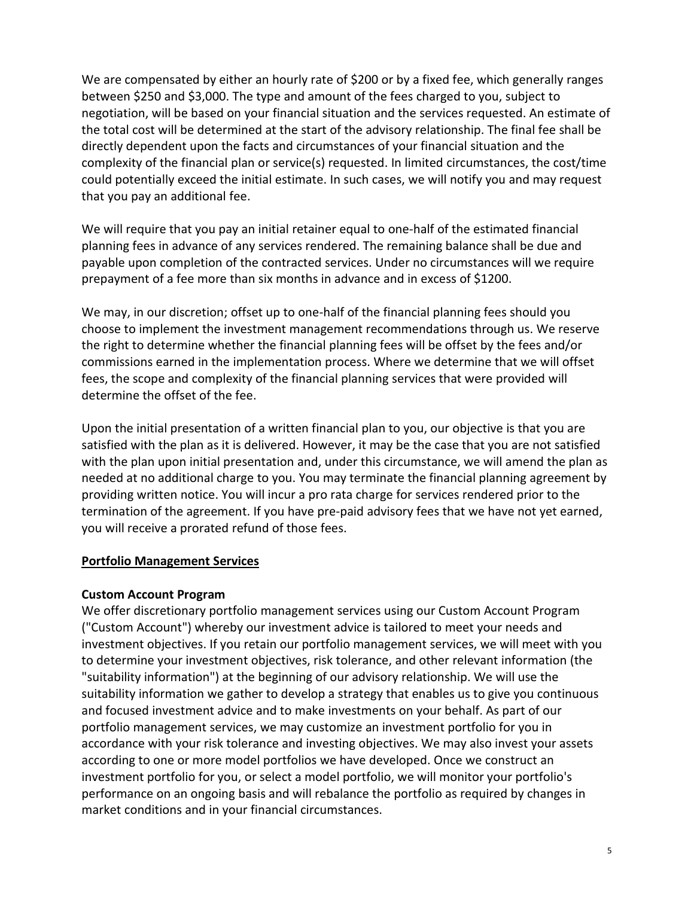We are compensated by either an hourly rate of \$200 or by a fixed fee, which generally ranges between \$250 and \$3,000. The type and amount of the fees charged to you, subject to negotiation, will be based on your financial situation and the services requested. An estimate of the total cost will be determined at the start of the advisory relationship. The final fee shall be directly dependent upon the facts and circumstances of your financial situation and the complexity of the financial plan or service(s) requested. In limited circumstances, the cost/time could potentially exceed the initial estimate. In such cases, we will notify you and may request that you pay an additional fee.

We will require that you pay an initial retainer equal to one-half of the estimated financial planning fees in advance of any services rendered. The remaining balance shall be due and payable upon completion of the contracted services. Under no circumstances will we require prepayment of a fee more than six months in advance and in excess of \$1200.

We may, in our discretion; offset up to one-half of the financial planning fees should you choose to implement the investment management recommendations through us. We reserve the right to determine whether the financial planning fees will be offset by the fees and/or commissions earned in the implementation process. Where we determine that we will offset fees, the scope and complexity of the financial planning services that were provided will determine the offset of the fee.

Upon the initial presentation of a written financial plan to you, our objective is that you are satisfied with the plan as it is delivered. However, it may be the case that you are not satisfied with the plan upon initial presentation and, under this circumstance, we will amend the plan as needed at no additional charge to you. You may terminate the financial planning agreement by providing written notice. You will incur a pro rata charge for services rendered prior to the termination of the agreement. If you have pre-paid advisory fees that we have not yet earned, you will receive a prorated refund of those fees.

#### **Portfolio Management Services**

#### **Custom Account Program**

We offer discretionary portfolio management services using our Custom Account Program ("Custom Account") whereby our investment advice is tailored to meet your needs and investment objectives. If you retain our portfolio management services, we will meet with you to determine your investment objectives, risk tolerance, and other relevant information (the "suitability information") at the beginning of our advisory relationship. We will use the suitability information we gather to develop a strategy that enables us to give you continuous and focused investment advice and to make investments on your behalf. As part of our portfolio management services, we may customize an investment portfolio for you in accordance with your risk tolerance and investing objectives. We may also invest your assets according to one or more model portfolios we have developed. Once we construct an investment portfolio for you, or select a model portfolio, we will monitor your portfolio's performance on an ongoing basis and will rebalance the portfolio as required by changes in market conditions and in your financial circumstances.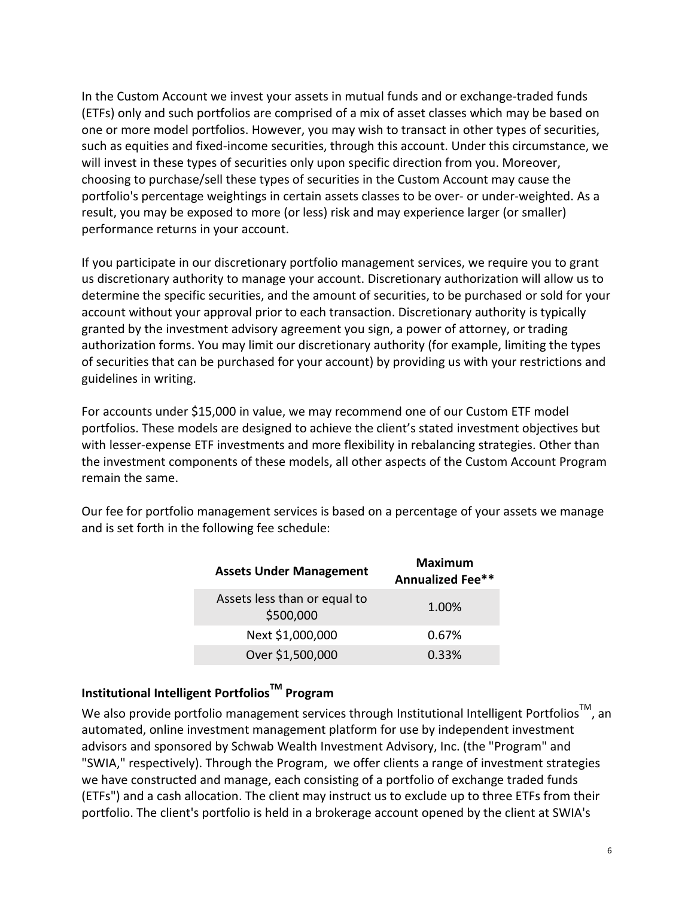In the Custom Account we invest your assets in mutual funds and or exchange-traded funds (ETFs) only and such portfolios are comprised of a mix of asset classes which may be based on one or more model portfolios. However, you may wish to transact in other types of securities, such as equities and fixed-income securities, through this account. Under this circumstance, we will invest in these types of securities only upon specific direction from you. Moreover, choosing to purchase/sell these types of securities in the Custom Account may cause the portfolio's percentage weightings in certain assets classes to be over- or under-weighted. As a result, you may be exposed to more (or less) risk and may experience larger (or smaller) performance returns in your account.

If you participate in our discretionary portfolio management services, we require you to grant us discretionary authority to manage your account. Discretionary authorization will allow us to determine the specific securities, and the amount of securities, to be purchased or sold for your account without your approval prior to each transaction. Discretionary authority is typically granted by the investment advisory agreement you sign, a power of attorney, or trading authorization forms. You may limit our discretionary authority (for example, limiting the types of securities that can be purchased for your account) by providing us with your restrictions and guidelines in writing.

For accounts under \$15,000 in value, we may recommend one of our Custom ETF model portfolios. These models are designed to achieve the client's stated investment objectives but with lesser-expense ETF investments and more flexibility in rebalancing strategies. Other than the investment components of these models, all other aspects of the Custom Account Program remain the same.

Our fee for portfolio management services is based on a percentage of your assets we manage and is set forth in the following fee schedule:

| <b>Assets Under Management</b>            | <b>Maximum</b><br>Annualized Fee** |
|-------------------------------------------|------------------------------------|
| Assets less than or equal to<br>\$500,000 | 1.00%                              |
| Next \$1,000,000                          | 0.67%                              |
| Over \$1,500,000                          | 0.33%                              |

### **Institutional Intelligent PortfoliosTM Program**

We also provide portfolio management services through Institutional Intelligent Portfolios<sup>TM</sup>, an automated, online investment management platform for use by independent investment advisors and sponsored by Schwab Wealth Investment Advisory, Inc. (the "Program" and "SWIA," respectively). Through the Program, we offer clients a range of investment strategies we have constructed and manage, each consisting of a portfolio of exchange traded funds (ETFs") and a cash allocation. The client may instruct us to exclude up to three ETFs from their portfolio. The client's portfolio is held in a brokerage account opened by the client at SWIA's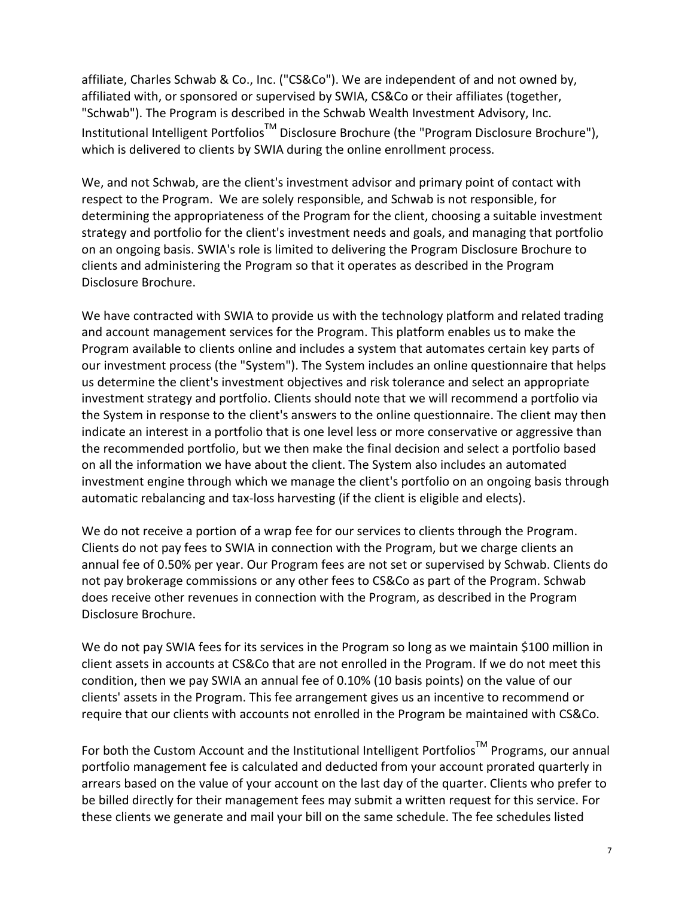affiliate, Charles Schwab & Co., Inc. ("CS&Co"). We are independent of and not owned by, affiliated with, or sponsored or supervised by SWIA, CS&Co or their affiliates (together, "Schwab"). The Program is described in the Schwab Wealth Investment Advisory, Inc. Institutional Intelligent Portfolios<sup>™</sup> Disclosure Brochure (the "Program Disclosure Brochure"), which is delivered to clients by SWIA during the online enrollment process.

We, and not Schwab, are the client's investment advisor and primary point of contact with respect to the Program. We are solely responsible, and Schwab is not responsible, for determining the appropriateness of the Program for the client, choosing a suitable investment strategy and portfolio for the client's investment needs and goals, and managing that portfolio on an ongoing basis. SWIA's role is limited to delivering the Program Disclosure Brochure to clients and administering the Program so that it operates as described in the Program Disclosure Brochure.

We have contracted with SWIA to provide us with the technology platform and related trading and account management services for the Program. This platform enables us to make the Program available to clients online and includes a system that automates certain key parts of our investment process (the "System"). The System includes an online questionnaire that helps us determine the client's investment objectives and risk tolerance and select an appropriate investment strategy and portfolio. Clients should note that we will recommend a portfolio via the System in response to the client's answers to the online questionnaire. The client may then indicate an interest in a portfolio that is one level less or more conservative or aggressive than the recommended portfolio, but we then make the final decision and select a portfolio based on all the information we have about the client. The System also includes an automated investment engine through which we manage the client's portfolio on an ongoing basis through automatic rebalancing and tax-loss harvesting (if the client is eligible and elects).

We do not receive a portion of a wrap fee for our services to clients through the Program. Clients do not pay fees to SWIA in connection with the Program, but we charge clients an annual fee of 0.50% per year. Our Program fees are not set or supervised by Schwab. Clients do not pay brokerage commissions or any other fees to CS&Co as part of the Program. Schwab does receive other revenues in connection with the Program, as described in the Program Disclosure Brochure.

We do not pay SWIA fees for its services in the Program so long as we maintain \$100 million in client assets in accounts at CS&Co that are not enrolled in the Program. If we do not meet this condition, then we pay SWIA an annual fee of 0.10% (10 basis points) on the value of our clients' assets in the Program. This fee arrangement gives us an incentive to recommend or require that our clients with accounts not enrolled in the Program be maintained with CS&Co.

For both the Custom Account and the Institutional Intelligent Portfolios<sup>TM</sup> Programs, our annual portfolio management fee is calculated and deducted from your account prorated quarterly in arrears based on the value of your account on the last day of the quarter. Clients who prefer to be billed directly for their management fees may submit a written request for this service. For these clients we generate and mail your bill on the same schedule. The fee schedules listed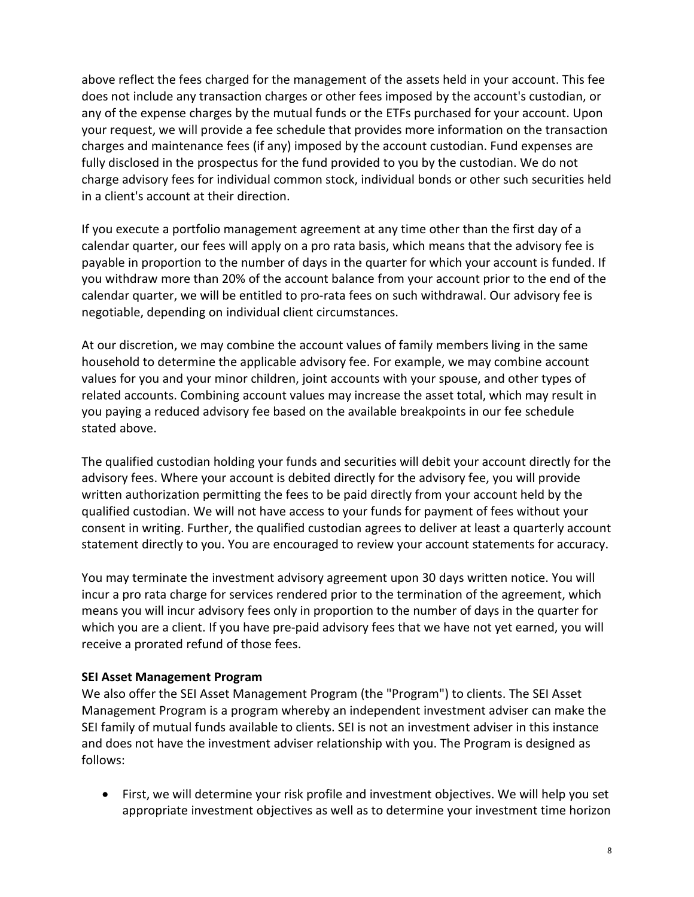above reflect the fees charged for the management of the assets held in your account. This fee does not include any transaction charges or other fees imposed by the account's custodian, or any of the expense charges by the mutual funds or the ETFs purchased for your account. Upon your request, we will provide a fee schedule that provides more information on the transaction charges and maintenance fees (if any) imposed by the account custodian. Fund expenses are fully disclosed in the prospectus for the fund provided to you by the custodian. We do not charge advisory fees for individual common stock, individual bonds or other such securities held in a client's account at their direction.

If you execute a portfolio management agreement at any time other than the first day of a calendar quarter, our fees will apply on a pro rata basis, which means that the advisory fee is payable in proportion to the number of days in the quarter for which your account is funded. If you withdraw more than 20% of the account balance from your account prior to the end of the calendar quarter, we will be entitled to pro-rata fees on such withdrawal. Our advisory fee is negotiable, depending on individual client circumstances.

At our discretion, we may combine the account values of family members living in the same household to determine the applicable advisory fee. For example, we may combine account values for you and your minor children, joint accounts with your spouse, and other types of related accounts. Combining account values may increase the asset total, which may result in you paying a reduced advisory fee based on the available breakpoints in our fee schedule stated above.

The qualified custodian holding your funds and securities will debit your account directly for the advisory fees. Where your account is debited directly for the advisory fee, you will provide written authorization permitting the fees to be paid directly from your account held by the qualified custodian. We will not have access to your funds for payment of fees without your consent in writing. Further, the qualified custodian agrees to deliver at least a quarterly account statement directly to you. You are encouraged to review your account statements for accuracy.

You may terminate the investment advisory agreement upon 30 days written notice. You will incur a pro rata charge for services rendered prior to the termination of the agreement, which means you will incur advisory fees only in proportion to the number of days in the quarter for which you are a client. If you have pre-paid advisory fees that we have not yet earned, you will receive a prorated refund of those fees.

#### **SEI Asset Management Program**

We also offer the SEI Asset Management Program (the "Program") to clients. The SEI Asset Management Program is a program whereby an independent investment adviser can make the SEI family of mutual funds available to clients. SEI is not an investment adviser in this instance and does not have the investment adviser relationship with you. The Program is designed as follows:

• First, we will determine your risk profile and investment objectives. We will help you set appropriate investment objectives as well as to determine your investment time horizon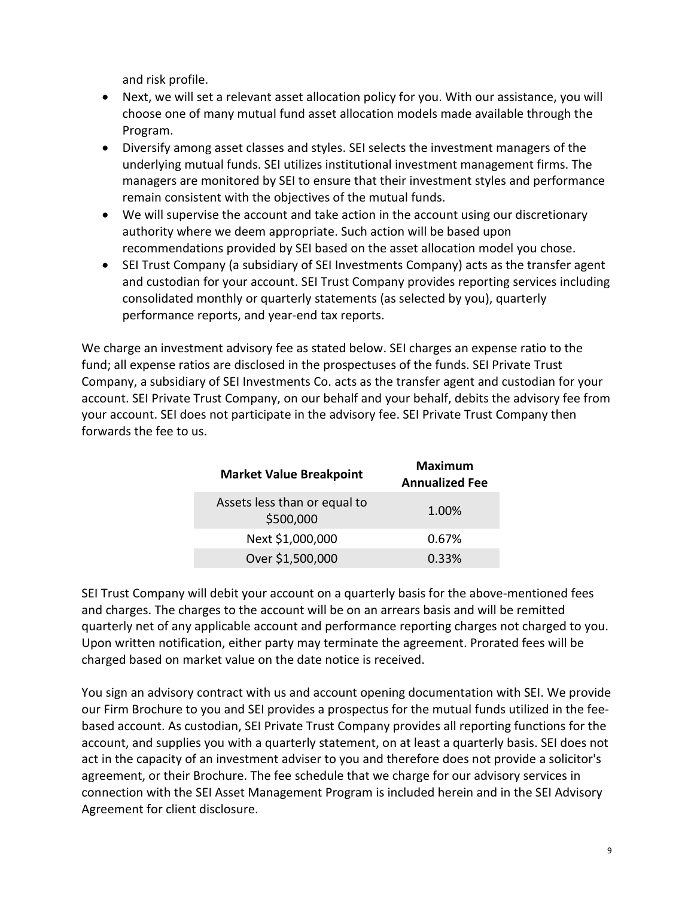and risk profile.

- Next, we will set a relevant asset allocation policy for you. With our assistance, you will choose one of many mutual fund asset allocation models made available through the Program.
- Diversify among asset classes and styles. SEI selects the investment managers of the underlying mutual funds. SEI utilizes institutional investment management firms. The managers are monitored by SEI to ensure that their investment styles and performance remain consistent with the objectives of the mutual funds.
- We will supervise the account and take action in the account using our discretionary authority where we deem appropriate. Such action will be based upon recommendations provided by SEI based on the asset allocation model you chose.
- SEI Trust Company (a subsidiary of SEI Investments Company) acts as the transfer agent and custodian for your account. SEI Trust Company provides reporting services including consolidated monthly or quarterly statements (as selected by you), quarterly performance reports, and year-end tax reports.

We charge an investment advisory fee as stated below. SEI charges an expense ratio to the fund; all expense ratios are disclosed in the prospectuses of the funds. SEI Private Trust Company, a subsidiary of SEI Investments Co. acts as the transfer agent and custodian for your account. SEI Private Trust Company, on our behalf and your behalf, debits the advisory fee from your account. SEI does not participate in the advisory fee. SEI Private Trust Company then forwards the fee to us.

| <b>Market Value Breakpoint</b> |                                           | <b>Maximum</b><br><b>Annualized Fee</b> |
|--------------------------------|-------------------------------------------|-----------------------------------------|
|                                | Assets less than or equal to<br>\$500,000 | 1.00%                                   |
|                                | Next \$1,000,000                          | 0.67%                                   |
|                                | Over \$1,500,000                          | 0.33%                                   |
|                                |                                           |                                         |

SEI Trust Company will debit your account on a quarterly basis for the above-mentioned fees and charges. The charges to the account will be on an arrears basis and will be remitted quarterly net of any applicable account and performance reporting charges not charged to you. Upon written notification, either party may terminate the agreement. Prorated fees will be charged based on market value on the date notice is received.

You sign an advisory contract with us and account opening documentation with SEI. We provide our Firm Brochure to you and SEI provides a prospectus for the mutual funds utilized in the feebased account. As custodian, SEI Private Trust Company provides all reporting functions for the account, and supplies you with a quarterly statement, on at least a quarterly basis. SEI does not act in the capacity of an investment adviser to you and therefore does not provide a solicitor's agreement, or their Brochure. The fee schedule that we charge for our advisory services in connection with the SEI Asset Management Program is included herein and in the SEI Advisory Agreement for client disclosure.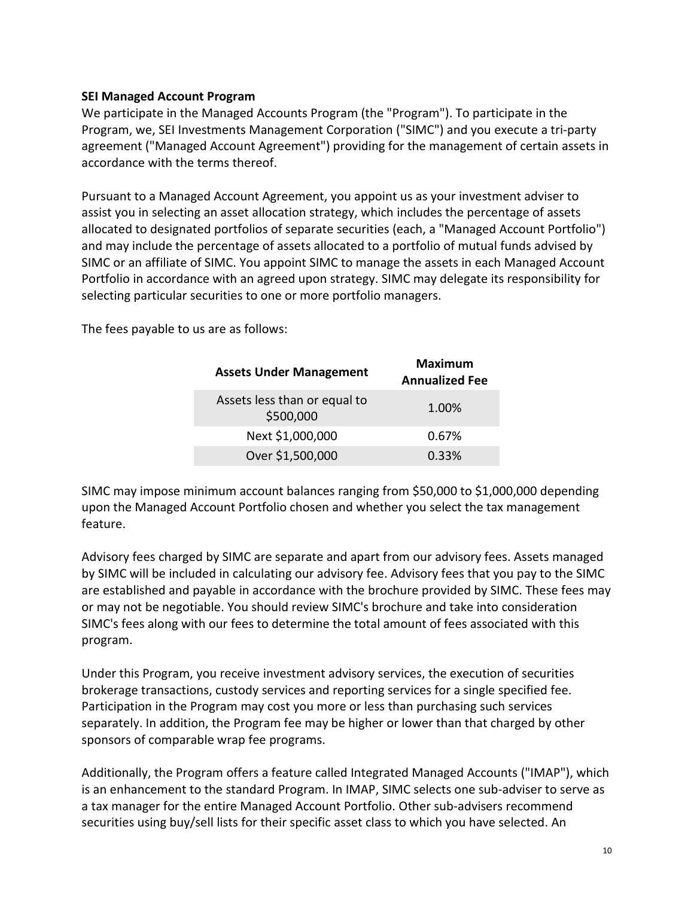#### **SEI Managed Account Program**

We participate in the Managed Accounts Program (the "Program"). To participate in the Program, we, SEI Investments Management Corporation ("SIMC") and you execute a tri-party agreement ("Managed Account Agreement") providing for the management of certain assets in accordance with the terms thereof.

Pursuant to a Managed Account Agreement, you appoint us as your investment adviser to assist you in selecting an asset allocation strategy, which includes the percentage of assets allocated to designated portfolios of separate securities (each, a "Managed Account Portfolio") and may include the percentage of assets allocated to a portfolio of mutual funds advised by SIMC or an affiliate of SIMC. You appoint SIMC to manage the assets in each Managed Account Portfolio in accordance with an agreed upon strategy. SIMC may delegate its responsibility for selecting particular securities to one or more portfolio managers.

The fees payable to us are as follows:

| <b>Assets Under Management</b>            | <b>Maximum</b><br><b>Annualized Fee</b> |
|-------------------------------------------|-----------------------------------------|
| Assets less than or equal to<br>\$500,000 | 1.00%                                   |
| Next \$1,000,000                          | 0.67%                                   |
| Over \$1,500,000                          | 0.33%                                   |

SIMC may impose minimum account balances ranging from \$50,000 to \$1,000,000 depending upon the Managed Account Portfolio chosen and whether you select the tax management feature.

Advisory fees charged by SIMC are separate and apart from our advisory fees. Assets managed by SIMC will be included in calculating our advisory fee. Advisory fees that you pay to the SIMC are established and payable in accordance with the brochure provided by SIMC. These fees may or may not be negotiable. You should review SIMC's brochure and take into consideration SIMC's fees along with our fees to determine the total amount of fees associated with this program.

Under this Program, you receive investment advisory services, the execution of securities brokerage transactions, custody services and reporting services for a single specified fee. Participation in the Program may cost you more or less than purchasing such services separately. In addition, the Program fee may be higher or lower than that charged by other sponsors of comparable wrap fee programs.

Additionally, the Program offers a feature called Integrated Managed Accounts ("IMAP"), which is an enhancement to the standard Program. In IMAP, SIMC selects one sub-adviser to serve as a tax manager for the entire Managed Account Portfolio. Other sub-advisers recommend securities using buy/sell lists for their specific asset class to which you have selected. An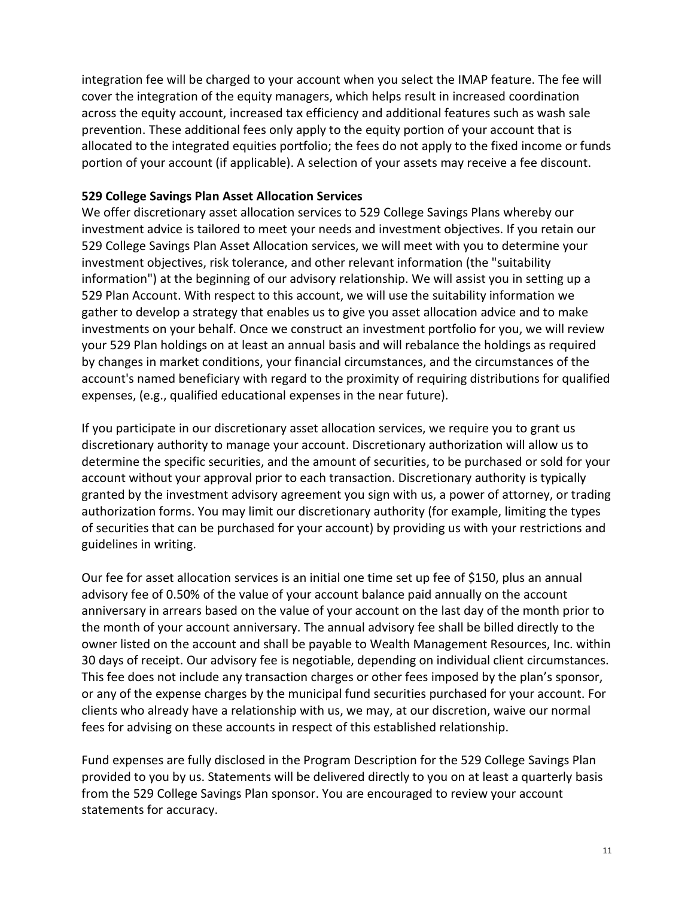integration fee will be charged to your account when you select the IMAP feature. The fee will cover the integration of the equity managers, which helps result in increased coordination across the equity account, increased tax efficiency and additional features such as wash sale prevention. These additional fees only apply to the equity portion of your account that is allocated to the integrated equities portfolio; the fees do not apply to the fixed income or funds portion of your account (if applicable). A selection of your assets may receive a fee discount.

#### **529 College Savings Plan Asset Allocation Services**

We offer discretionary asset allocation services to 529 College Savings Plans whereby our investment advice is tailored to meet your needs and investment objectives. If you retain our 529 College Savings Plan Asset Allocation services, we will meet with you to determine your investment objectives, risk tolerance, and other relevant information (the "suitability information") at the beginning of our advisory relationship. We will assist you in setting up a 529 Plan Account. With respect to this account, we will use the suitability information we gather to develop a strategy that enables us to give you asset allocation advice and to make investments on your behalf. Once we construct an investment portfolio for you, we will review your 529 Plan holdings on at least an annual basis and will rebalance the holdings as required by changes in market conditions, your financial circumstances, and the circumstances of the account's named beneficiary with regard to the proximity of requiring distributions for qualified expenses, (e.g., qualified educational expenses in the near future).

If you participate in our discretionary asset allocation services, we require you to grant us discretionary authority to manage your account. Discretionary authorization will allow us to determine the specific securities, and the amount of securities, to be purchased or sold for your account without your approval prior to each transaction. Discretionary authority is typically granted by the investment advisory agreement you sign with us, a power of attorney, or trading authorization forms. You may limit our discretionary authority (for example, limiting the types of securities that can be purchased for your account) by providing us with your restrictions and guidelines in writing.

Our fee for asset allocation services is an initial one time set up fee of \$150, plus an annual advisory fee of 0.50% of the value of your account balance paid annually on the account anniversary in arrears based on the value of your account on the last day of the month prior to the month of your account anniversary. The annual advisory fee shall be billed directly to the owner listed on the account and shall be payable to Wealth Management Resources, Inc. within 30 days of receipt. Our advisory fee is negotiable, depending on individual client circumstances. This fee does not include any transaction charges or other fees imposed by the plan's sponsor, or any of the expense charges by the municipal fund securities purchased for your account. For clients who already have a relationship with us, we may, at our discretion, waive our normal fees for advising on these accounts in respect of this established relationship.

Fund expenses are fully disclosed in the Program Description for the 529 College Savings Plan provided to you by us. Statements will be delivered directly to you on at least a quarterly basis from the 529 College Savings Plan sponsor. You are encouraged to review your account statements for accuracy.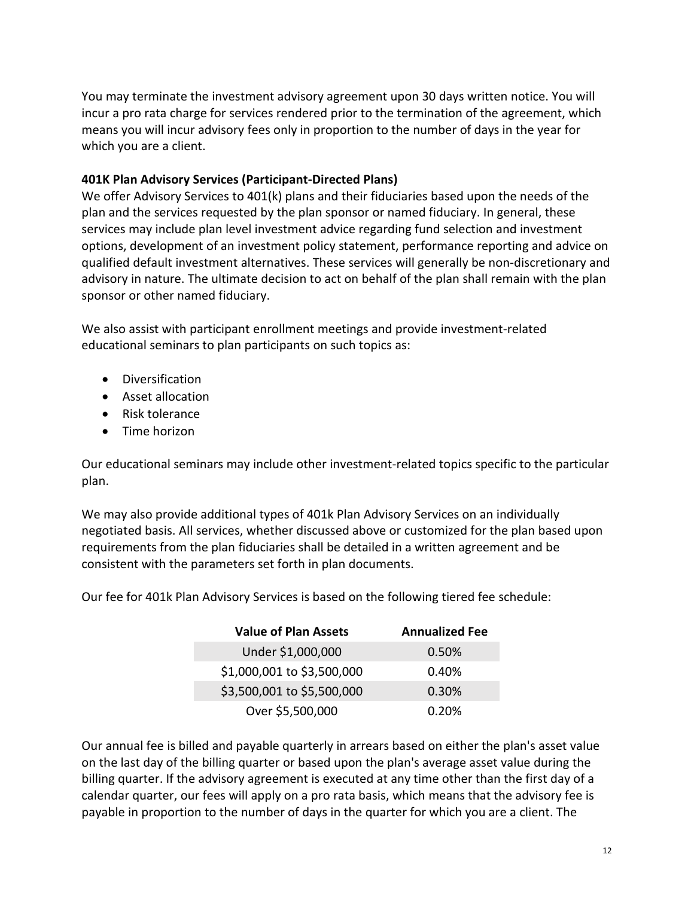You may terminate the investment advisory agreement upon 30 days written notice. You will incur a pro rata charge for services rendered prior to the termination of the agreement, which means you will incur advisory fees only in proportion to the number of days in the year for which you are a client.

#### **401K Plan Advisory Services (Participant-Directed Plans)**

We offer Advisory Services to 401(k) plans and their fiduciaries based upon the needs of the plan and the services requested by the plan sponsor or named fiduciary. In general, these services may include plan level investment advice regarding fund selection and investment options, development of an investment policy statement, performance reporting and advice on qualified default investment alternatives. These services will generally be non-discretionary and advisory in nature. The ultimate decision to act on behalf of the plan shall remain with the plan sponsor or other named fiduciary.

We also assist with participant enrollment meetings and provide investment-related educational seminars to plan participants on such topics as:

- Diversification
- Asset allocation
- Risk tolerance
- Time horizon

Our educational seminars may include other investment-related topics specific to the particular plan.

We may also provide additional types of 401k Plan Advisory Services on an individually negotiated basis. All services, whether discussed above or customized for the plan based upon requirements from the plan fiduciaries shall be detailed in a written agreement and be consistent with the parameters set forth in plan documents.

Our fee for 401k Plan Advisory Services is based on the following tiered fee schedule:

| <b>Value of Plan Assets</b> | <b>Annualized Fee</b> |
|-----------------------------|-----------------------|
| Under \$1,000,000           | 0.50%                 |
| \$1,000,001 to \$3,500,000  | 0.40%                 |
| \$3,500,001 to \$5,500,000  | 0.30%                 |
| Over \$5,500,000            | 0.20%                 |

Our annual fee is billed and payable quarterly in arrears based on either the plan's asset value on the last day of the billing quarter or based upon the plan's average asset value during the billing quarter. If the advisory agreement is executed at any time other than the first day of a calendar quarter, our fees will apply on a pro rata basis, which means that the advisory fee is payable in proportion to the number of days in the quarter for which you are a client. The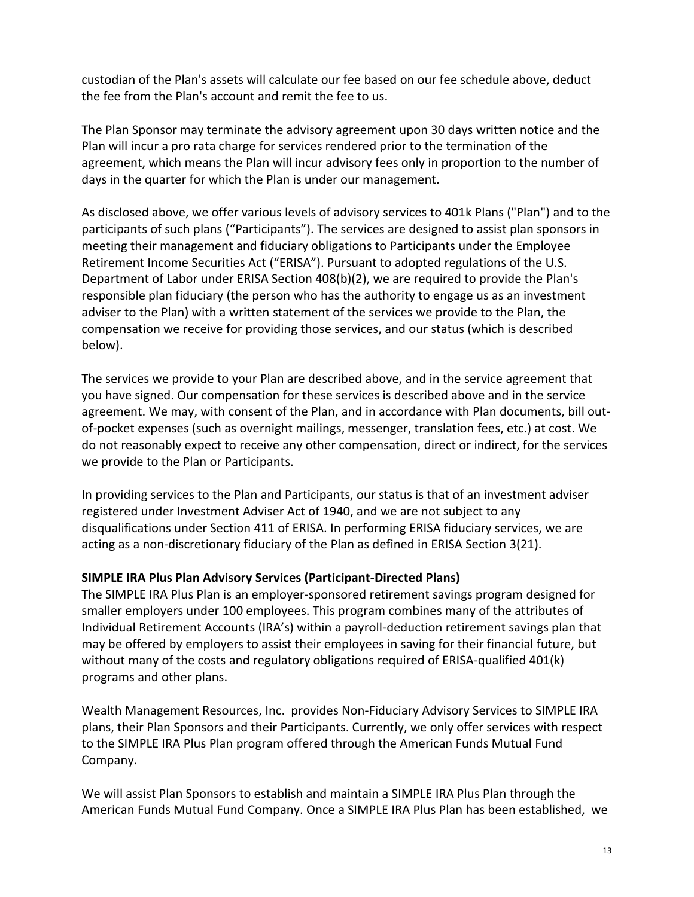custodian of the Plan's assets will calculate our fee based on our fee schedule above, deduct the fee from the Plan's account and remit the fee to us.

The Plan Sponsor may terminate the advisory agreement upon 30 days written notice and the Plan will incur a pro rata charge for services rendered prior to the termination of the agreement, which means the Plan will incur advisory fees only in proportion to the number of days in the quarter for which the Plan is under our management.

As disclosed above, we offer various levels of advisory services to 401k Plans ("Plan") and to the participants of such plans ("Participants"). The services are designed to assist plan sponsors in meeting their management and fiduciary obligations to Participants under the Employee Retirement Income Securities Act ("ERISA"). Pursuant to adopted regulations of the U.S. Department of Labor under ERISA Section 408(b)(2), we are required to provide the Plan's responsible plan fiduciary (the person who has the authority to engage us as an investment adviser to the Plan) with a written statement of the services we provide to the Plan, the compensation we receive for providing those services, and our status (which is described below).

The services we provide to your Plan are described above, and in the service agreement that you have signed. Our compensation for these services is described above and in the service agreement. We may, with consent of the Plan, and in accordance with Plan documents, bill outof-pocket expenses (such as overnight mailings, messenger, translation fees, etc.) at cost. We do not reasonably expect to receive any other compensation, direct or indirect, for the services we provide to the Plan or Participants.

In providing services to the Plan and Participants, our status is that of an investment adviser registered under Investment Adviser Act of 1940, and we are not subject to any disqualifications under Section 411 of ERISA. In performing ERISA fiduciary services, we are acting as a non-discretionary fiduciary of the Plan as defined in ERISA Section 3(21).

#### **SIMPLE IRA Plus Plan Advisory Services (Participant-Directed Plans)**

The SIMPLE IRA Plus Plan is an employer-sponsored retirement savings program designed for smaller employers under 100 employees. This program combines many of the attributes of Individual Retirement Accounts (IRA's) within a payroll-deduction retirement savings plan that may be offered by employers to assist their employees in saving for their financial future, but without many of the costs and regulatory obligations required of ERISA-qualified 401(k) programs and other plans.

Wealth Management Resources, Inc. provides Non-Fiduciary Advisory Services to SIMPLE IRA plans, their Plan Sponsors and their Participants. Currently, we only offer services with respect to the SIMPLE IRA Plus Plan program offered through the American Funds Mutual Fund Company.

We will assist Plan Sponsors to establish and maintain a SIMPLE IRA Plus Plan through the American Funds Mutual Fund Company. Once a SIMPLE IRA Plus Plan has been established, we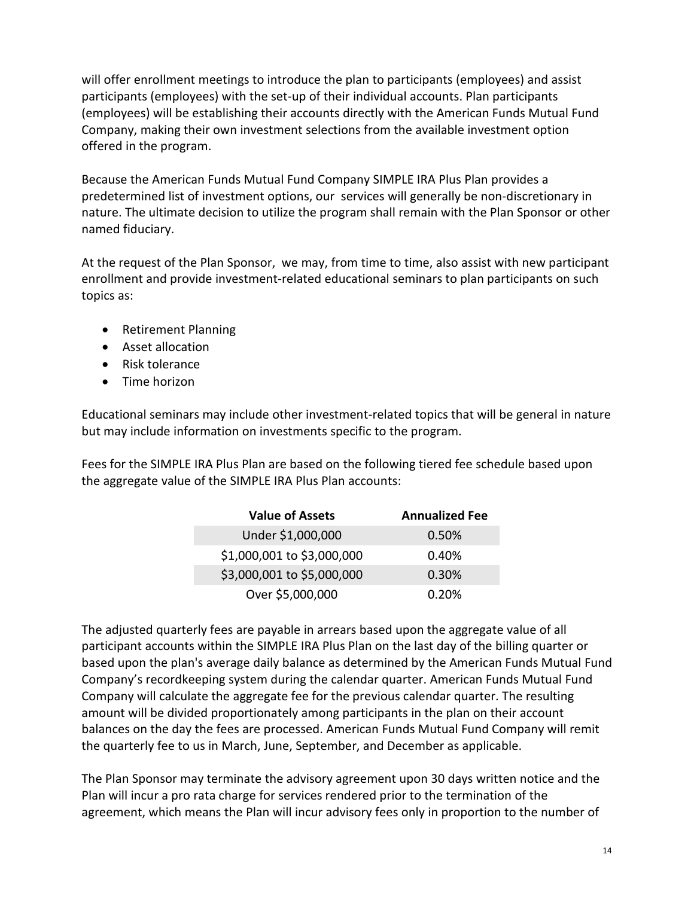will offer enrollment meetings to introduce the plan to participants (employees) and assist participants (employees) with the set-up of their individual accounts. Plan participants (employees) will be establishing their accounts directly with the American Funds Mutual Fund Company, making their own investment selections from the available investment option offered in the program.

Because the American Funds Mutual Fund Company SIMPLE IRA Plus Plan provides a predetermined list of investment options, our services will generally be non-discretionary in nature. The ultimate decision to utilize the program shall remain with the Plan Sponsor or other named fiduciary.

At the request of the Plan Sponsor, we may, from time to time, also assist with new participant enrollment and provide investment-related educational seminars to plan participants on such topics as:

- Retirement Planning
- Asset allocation
- Risk tolerance
- Time horizon

Educational seminars may include other investment-related topics that will be general in nature but may include information on investments specific to the program.

Fees for the SIMPLE IRA Plus Plan are based on the following tiered fee schedule based upon the aggregate value of the SIMPLE IRA Plus Plan accounts:

| <b>Value of Assets</b>     | <b>Annualized Fee</b> |
|----------------------------|-----------------------|
| Under \$1,000,000          | 0.50%                 |
| \$1,000,001 to \$3,000,000 | 0.40%                 |
| \$3,000,001 to \$5,000,000 | 0.30%                 |
| Over \$5,000,000           | 0.20%                 |

The adjusted quarterly fees are payable in arrears based upon the aggregate value of all participant accounts within the SIMPLE IRA Plus Plan on the last day of the billing quarter or based upon the plan's average daily balance as determined by the American Funds Mutual Fund Company's recordkeeping system during the calendar quarter. American Funds Mutual Fund Company will calculate the aggregate fee for the previous calendar quarter. The resulting amount will be divided proportionately among participants in the plan on their account balances on the day the fees are processed. American Funds Mutual Fund Company will remit the quarterly fee to us in March, June, September, and December as applicable.

The Plan Sponsor may terminate the advisory agreement upon 30 days written notice and the Plan will incur a pro rata charge for services rendered prior to the termination of the agreement, which means the Plan will incur advisory fees only in proportion to the number of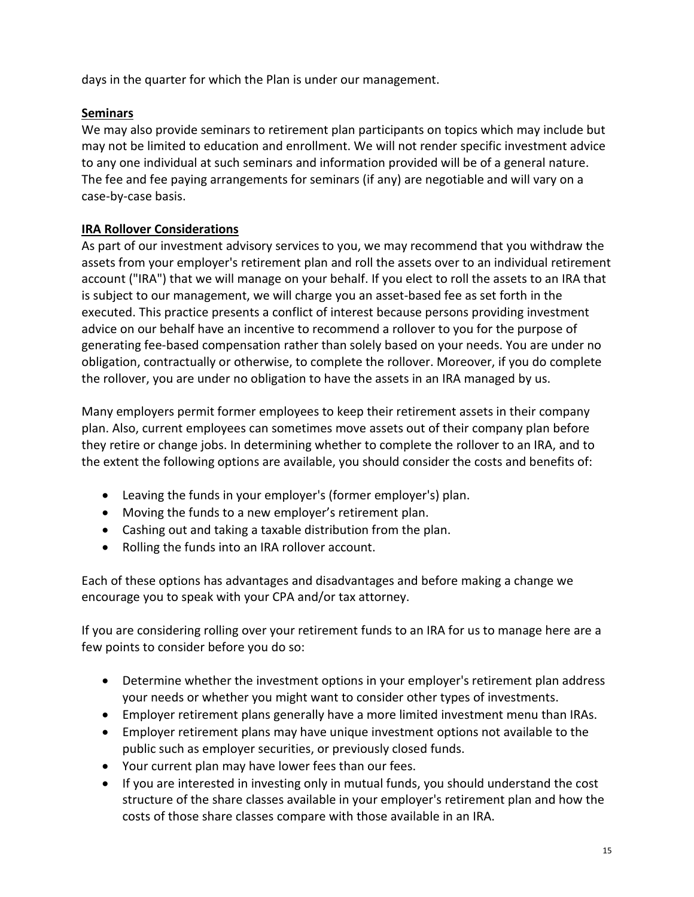days in the quarter for which the Plan is under our management.

### **Seminars**

We may also provide seminars to retirement plan participants on topics which may include but may not be limited to education and enrollment. We will not render specific investment advice to any one individual at such seminars and information provided will be of a general nature. The fee and fee paying arrangements for seminars (if any) are negotiable and will vary on a case-by-case basis.

### **IRA Rollover Considerations**

As part of our investment advisory services to you, we may recommend that you withdraw the assets from your employer's retirement plan and roll the assets over to an individual retirement account ("IRA") that we will manage on your behalf. If you elect to roll the assets to an IRA that is subject to our management, we will charge you an asset-based fee as set forth in the executed. This practice presents a conflict of interest because persons providing investment advice on our behalf have an incentive to recommend a rollover to you for the purpose of generating fee-based compensation rather than solely based on your needs. You are under no obligation, contractually or otherwise, to complete the rollover. Moreover, if you do complete the rollover, you are under no obligation to have the assets in an IRA managed by us.

Many employers permit former employees to keep their retirement assets in their company plan. Also, current employees can sometimes move assets out of their company plan before they retire or change jobs. In determining whether to complete the rollover to an IRA, and to the extent the following options are available, you should consider the costs and benefits of:

- Leaving the funds in your employer's (former employer's) plan.
- Moving the funds to a new employer's retirement plan.
- Cashing out and taking a taxable distribution from the plan.
- Rolling the funds into an IRA rollover account.

Each of these options has advantages and disadvantages and before making a change we encourage you to speak with your CPA and/or tax attorney.

If you are considering rolling over your retirement funds to an IRA for us to manage here are a few points to consider before you do so:

- Determine whether the investment options in your employer's retirement plan address your needs or whether you might want to consider other types of investments.
- Employer retirement plans generally have a more limited investment menu than IRAs.
- Employer retirement plans may have unique investment options not available to the public such as employer securities, or previously closed funds.
- Your current plan may have lower fees than our fees.
- If you are interested in investing only in mutual funds, you should understand the cost structure of the share classes available in your employer's retirement plan and how the costs of those share classes compare with those available in an IRA.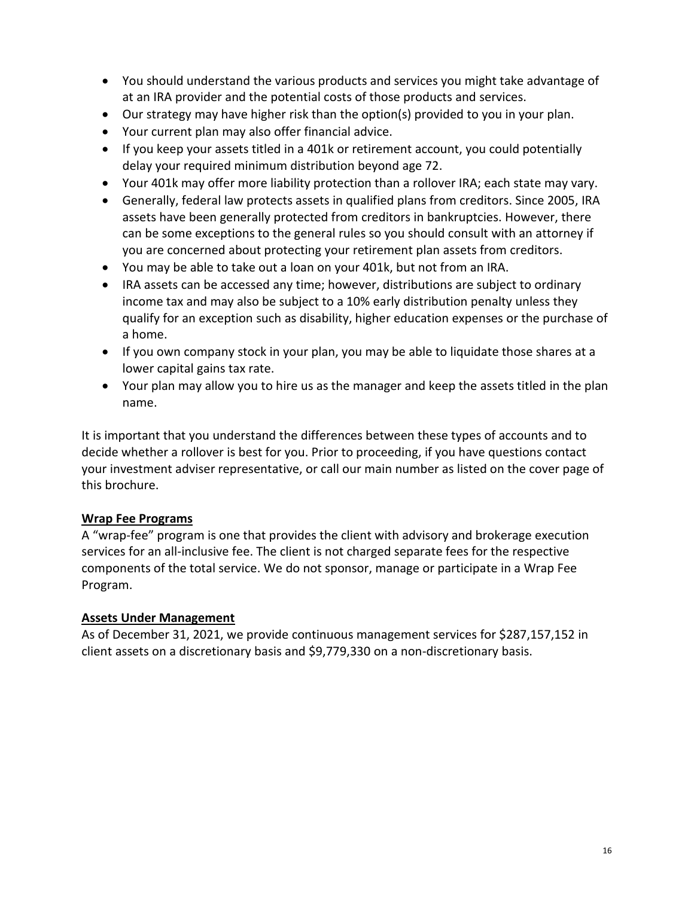- You should understand the various products and services you might take advantage of at an IRA provider and the potential costs of those products and services.
- Our strategy may have higher risk than the option(s) provided to you in your plan.
- Your current plan may also offer financial advice.
- If you keep your assets titled in a 401k or retirement account, you could potentially delay your required minimum distribution beyond age 72.
- Your 401k may offer more liability protection than a rollover IRA; each state may vary.
- Generally, federal law protects assets in qualified plans from creditors. Since 2005, IRA assets have been generally protected from creditors in bankruptcies. However, there can be some exceptions to the general rules so you should consult with an attorney if you are concerned about protecting your retirement plan assets from creditors.
- You may be able to take out a loan on your 401k, but not from an IRA.
- IRA assets can be accessed any time; however, distributions are subject to ordinary income tax and may also be subject to a 10% early distribution penalty unless they qualify for an exception such as disability, higher education expenses or the purchase of a home.
- If you own company stock in your plan, you may be able to liquidate those shares at a lower capital gains tax rate.
- Your plan may allow you to hire us as the manager and keep the assets titled in the plan name.

It is important that you understand the differences between these types of accounts and to decide whether a rollover is best for you. Prior to proceeding, if you have questions contact your investment adviser representative, or call our main number as listed on the cover page of this brochure.

#### **Wrap Fee Programs**

A "wrap-fee" program is one that provides the client with advisory and brokerage execution services for an all-inclusive fee. The client is not charged separate fees for the respective components of the total service. We do not sponsor, manage or participate in a Wrap Fee Program.

#### **Assets Under Management**

As of December 31, 2021, we provide continuous management services for \$287,157,152 in client assets on a discretionary basis and \$9,779,330 on a non-discretionary basis.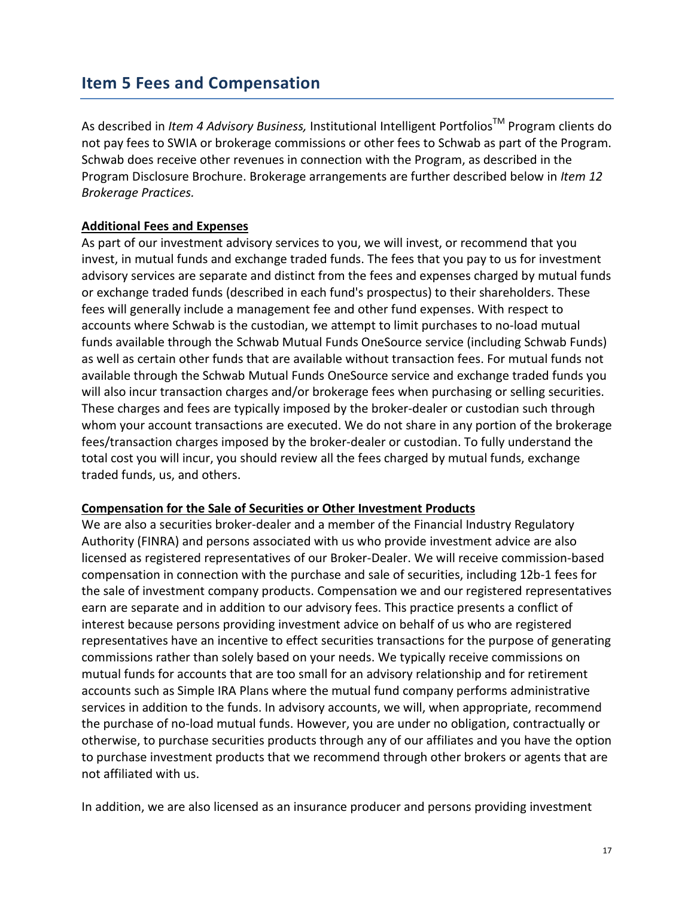### <span id="page-16-0"></span>**Item 5 Fees and Compensation**

As described in *Item 4 Advisory Business,* Institutional Intelligent PortfoliosTM Program clients do not pay fees to SWIA or brokerage commissions or other fees to Schwab as part of the Program. Schwab does receive other revenues in connection with the Program, as described in the Program Disclosure Brochure. Brokerage arrangements are further described below in *Item 12 Brokerage Practices.*

#### **Additional Fees and Expenses**

As part of our investment advisory services to you, we will invest, or recommend that you invest, in mutual funds and exchange traded funds. The fees that you pay to us for investment advisory services are separate and distinct from the fees and expenses charged by mutual funds or exchange traded funds (described in each fund's prospectus) to their shareholders. These fees will generally include a management fee and other fund expenses. With respect to accounts where Schwab is the custodian, we attempt to limit purchases to no-load mutual funds available through the Schwab Mutual Funds OneSource service (including Schwab Funds) as well as certain other funds that are available without transaction fees. For mutual funds not available through the Schwab Mutual Funds OneSource service and exchange traded funds you will also incur transaction charges and/or brokerage fees when purchasing or selling securities. These charges and fees are typically imposed by the broker-dealer or custodian such through whom your account transactions are executed. We do not share in any portion of the brokerage fees/transaction charges imposed by the broker-dealer or custodian. To fully understand the total cost you will incur, you should review all the fees charged by mutual funds, exchange traded funds, us, and others.

#### **Compensation for the Sale of Securities or Other Investment Products**

We are also a securities broker-dealer and a member of the Financial Industry Regulatory Authority (FINRA) and persons associated with us who provide investment advice are also licensed as registered representatives of our Broker-Dealer. We will receive commission-based compensation in connection with the purchase and sale of securities, including 12b-1 fees for the sale of investment company products. Compensation we and our registered representatives earn are separate and in addition to our advisory fees. This practice presents a conflict of interest because persons providing investment advice on behalf of us who are registered representatives have an incentive to effect securities transactions for the purpose of generating commissions rather than solely based on your needs. We typically receive commissions on mutual funds for accounts that are too small for an advisory relationship and for retirement accounts such as Simple IRA Plans where the mutual fund company performs administrative services in addition to the funds. In advisory accounts, we will, when appropriate, recommend the purchase of no-load mutual funds. However, you are under no obligation, contractually or otherwise, to purchase securities products through any of our affiliates and you have the option to purchase investment products that we recommend through other brokers or agents that are not affiliated with us.

In addition, we are also licensed as an insurance producer and persons providing investment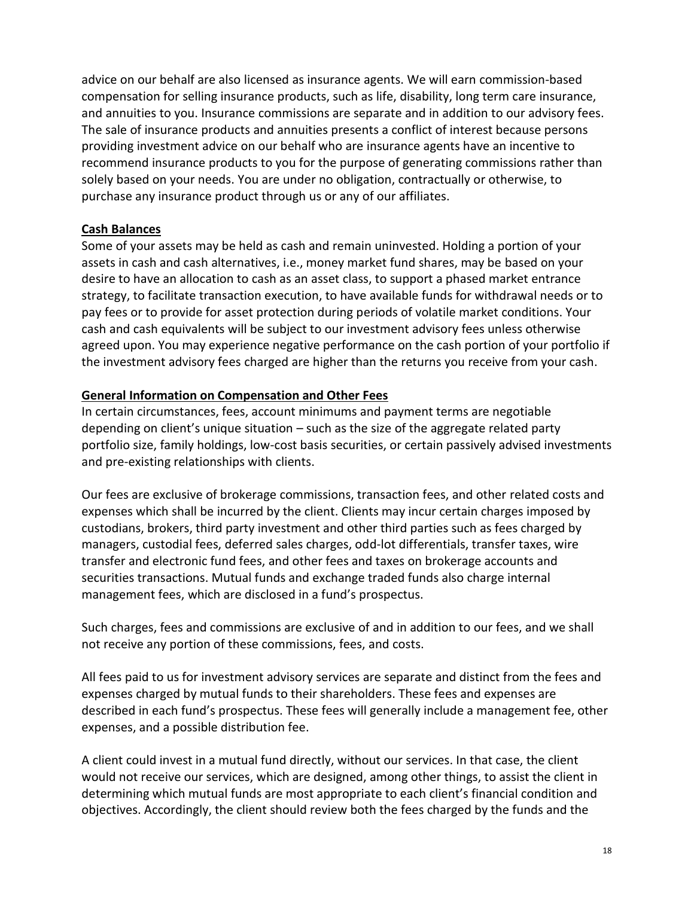advice on our behalf are also licensed as insurance agents. We will earn commission-based compensation for selling insurance products, such as life, disability, long term care insurance, and annuities to you. Insurance commissions are separate and in addition to our advisory fees. The sale of insurance products and annuities presents a conflict of interest because persons providing investment advice on our behalf who are insurance agents have an incentive to recommend insurance products to you for the purpose of generating commissions rather than solely based on your needs. You are under no obligation, contractually or otherwise, to purchase any insurance product through us or any of our affiliates.

#### **Cash Balances**

Some of your assets may be held as cash and remain uninvested. Holding a portion of your assets in cash and cash alternatives, i.e., money market fund shares, may be based on your desire to have an allocation to cash as an asset class, to support a phased market entrance strategy, to facilitate transaction execution, to have available funds for withdrawal needs or to pay fees or to provide for asset protection during periods of volatile market conditions. Your cash and cash equivalents will be subject to our investment advisory fees unless otherwise agreed upon. You may experience negative performance on the cash portion of your portfolio if the investment advisory fees charged are higher than the returns you receive from your cash.

### **General Information on Compensation and Other Fees**

In certain circumstances, fees, account minimums and payment terms are negotiable depending on client's unique situation – such as the size of the aggregate related party portfolio size, family holdings, low-cost basis securities, or certain passively advised investments and pre-existing relationships with clients.

Our fees are exclusive of brokerage commissions, transaction fees, and other related costs and expenses which shall be incurred by the client. Clients may incur certain charges imposed by custodians, brokers, third party investment and other third parties such as fees charged by managers, custodial fees, deferred sales charges, odd-lot differentials, transfer taxes, wire transfer and electronic fund fees, and other fees and taxes on brokerage accounts and securities transactions. Mutual funds and exchange traded funds also charge internal management fees, which are disclosed in a fund's prospectus.

Such charges, fees and commissions are exclusive of and in addition to our fees, and we shall not receive any portion of these commissions, fees, and costs.

All fees paid to us for investment advisory services are separate and distinct from the fees and expenses charged by mutual funds to their shareholders. These fees and expenses are described in each fund's prospectus. These fees will generally include a management fee, other expenses, and a possible distribution fee.

A client could invest in a mutual fund directly, without our services. In that case, the client would not receive our services, which are designed, among other things, to assist the client in determining which mutual funds are most appropriate to each client's financial condition and objectives. Accordingly, the client should review both the fees charged by the funds and the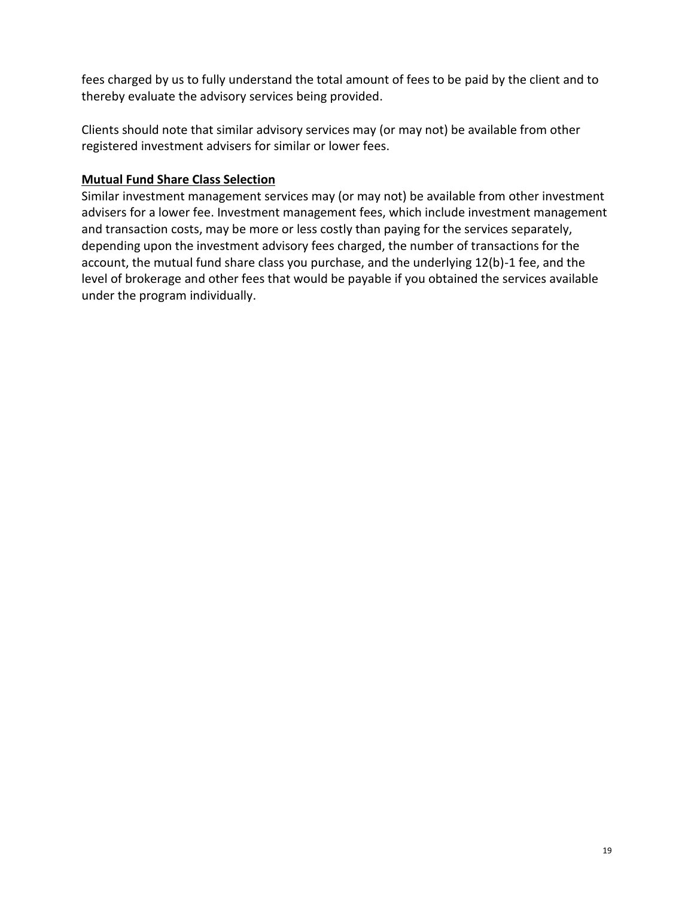fees charged by us to fully understand the total amount of fees to be paid by the client and to thereby evaluate the advisory services being provided.

Clients should note that similar advisory services may (or may not) be available from other registered investment advisers for similar or lower fees.

#### **Mutual Fund Share Class Selection**

Similar investment management services may (or may not) be available from other investment advisers for a lower fee. Investment management fees, which include investment management and transaction costs, may be more or less costly than paying for the services separately, depending upon the investment advisory fees charged, the number of transactions for the account, the mutual fund share class you purchase, and the underlying 12(b)-1 fee, and the level of brokerage and other fees that would be payable if you obtained the services available under the program individually.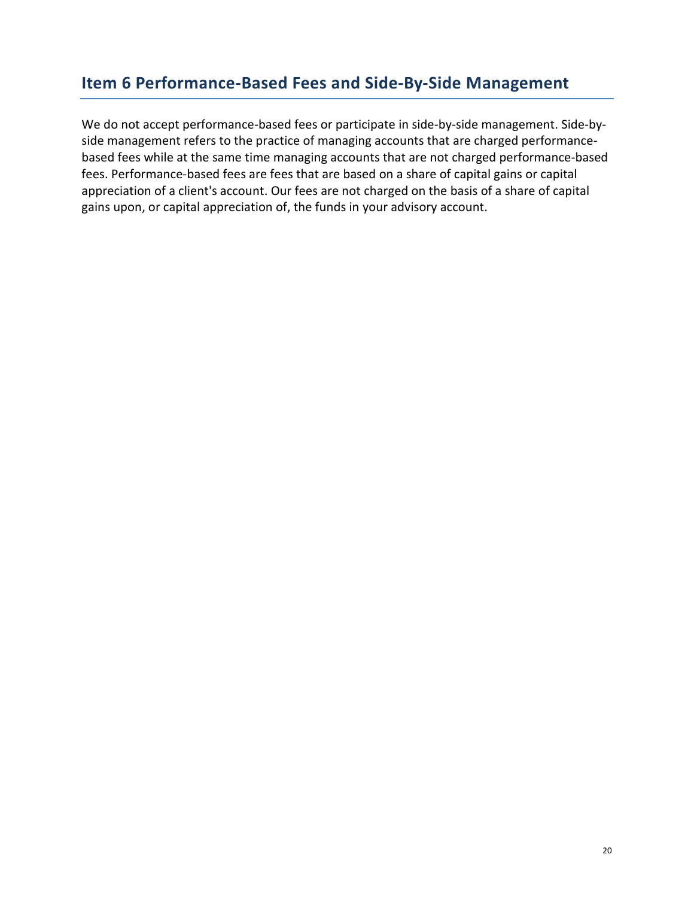### <span id="page-19-0"></span>**Item 6 Performance-Based Fees and Side-By-Side Management**

We do not accept performance-based fees or participate in side-by-side management. Side-byside management refers to the practice of managing accounts that are charged performancebased fees while at the same time managing accounts that are not charged performance-based fees. Performance-based fees are fees that are based on a share of capital gains or capital appreciation of a client's account. Our fees are not charged on the basis of a share of capital gains upon, or capital appreciation of, the funds in your advisory account.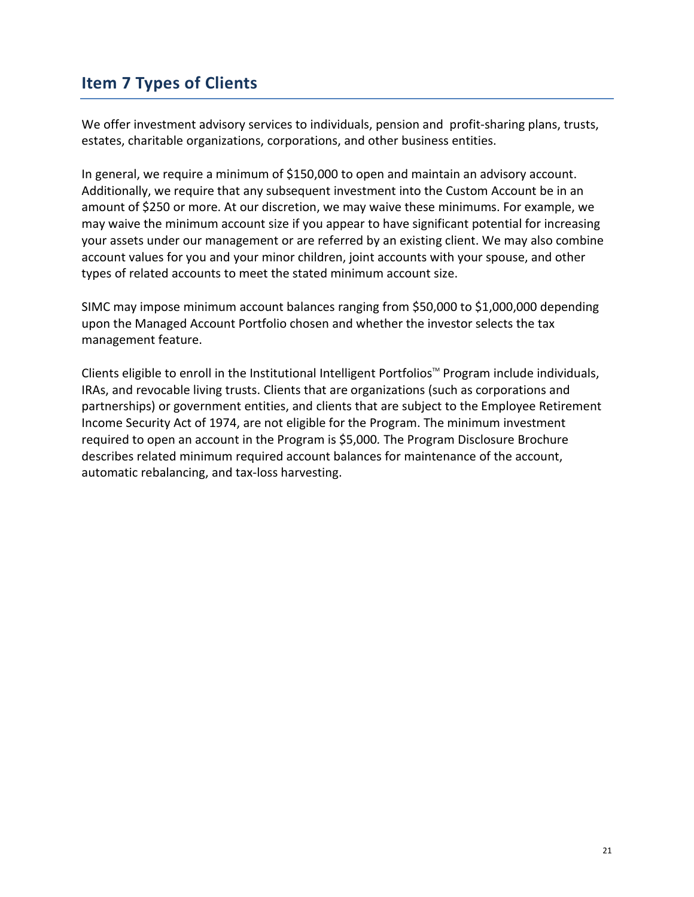# <span id="page-20-0"></span>**Item 7 Types of Clients**

We offer investment advisory services to individuals, pension and profit-sharing plans, trusts, estates, charitable organizations, corporations, and other business entities.

In general, we require a minimum of \$150,000 to open and maintain an advisory account. Additionally, we require that any subsequent investment into the Custom Account be in an amount of \$250 or more. At our discretion, we may waive these minimums. For example, we may waive the minimum account size if you appear to have significant potential for increasing your assets under our management or are referred by an existing client. We may also combine account values for you and your minor children, joint accounts with your spouse, and other types of related accounts to meet the stated minimum account size.

SIMC may impose minimum account balances ranging from \$50,000 to \$1,000,000 depending upon the Managed Account Portfolio chosen and whether the investor selects the tax management feature.

Clients eligible to enroll in the Institutional Intelligent Portfolios<sup>™</sup> Program include individuals, IRAs, and revocable living trusts. Clients that are organizations (such as corporations and partnerships) or government entities, and clients that are subject to the Employee Retirement Income Security Act of 1974, are not eligible for the Program. The minimum investment required to open an account in the Program is \$5,000*.* The Program Disclosure Brochure describes related minimum required account balances for maintenance of the account, automatic rebalancing, and tax-loss harvesting.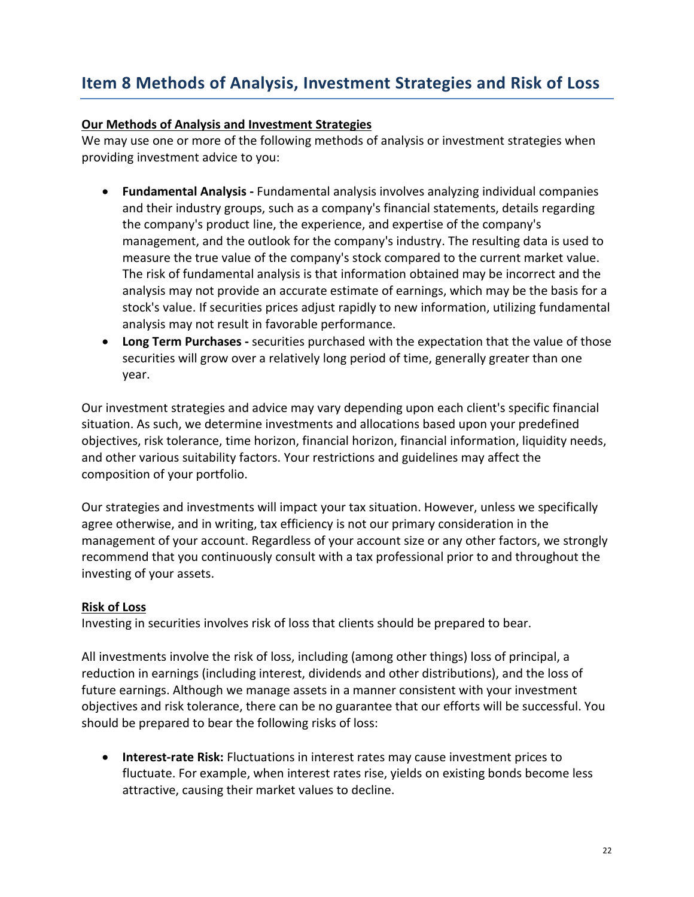# <span id="page-21-0"></span>**Item 8 Methods of Analysis, Investment Strategies and Risk of Loss**

#### **Our Methods of Analysis and Investment Strategies**

We may use one or more of the following methods of analysis or investment strategies when providing investment advice to you:

- **Fundamental Analysis -** Fundamental analysis involves analyzing individual companies and their industry groups, such as a company's financial statements, details regarding the company's product line, the experience, and expertise of the company's management, and the outlook for the company's industry. The resulting data is used to measure the true value of the company's stock compared to the current market value. The risk of fundamental analysis is that information obtained may be incorrect and the analysis may not provide an accurate estimate of earnings, which may be the basis for a stock's value. If securities prices adjust rapidly to new information, utilizing fundamental analysis may not result in favorable performance.
- **Long Term Purchases -** securities purchased with the expectation that the value of those securities will grow over a relatively long period of time, generally greater than one year.

Our investment strategies and advice may vary depending upon each client's specific financial situation. As such, we determine investments and allocations based upon your predefined objectives, risk tolerance, time horizon, financial horizon, financial information, liquidity needs, and other various suitability factors. Your restrictions and guidelines may affect the composition of your portfolio.

Our strategies and investments will impact your tax situation. However, unless we specifically agree otherwise, and in writing, tax efficiency is not our primary consideration in the management of your account. Regardless of your account size or any other factors, we strongly recommend that you continuously consult with a tax professional prior to and throughout the investing of your assets.

#### **Risk of Loss**

Investing in securities involves risk of loss that clients should be prepared to bear.

All investments involve the risk of loss, including (among other things) loss of principal, a reduction in earnings (including interest, dividends and other distributions), and the loss of future earnings. Although we manage assets in a manner consistent with your investment objectives and risk tolerance, there can be no guarantee that our efforts will be successful. You should be prepared to bear the following risks of loss:

• **Interest-rate Risk:** Fluctuations in interest rates may cause investment prices to fluctuate. For example, when interest rates rise, yields on existing bonds become less attractive, causing their market values to decline.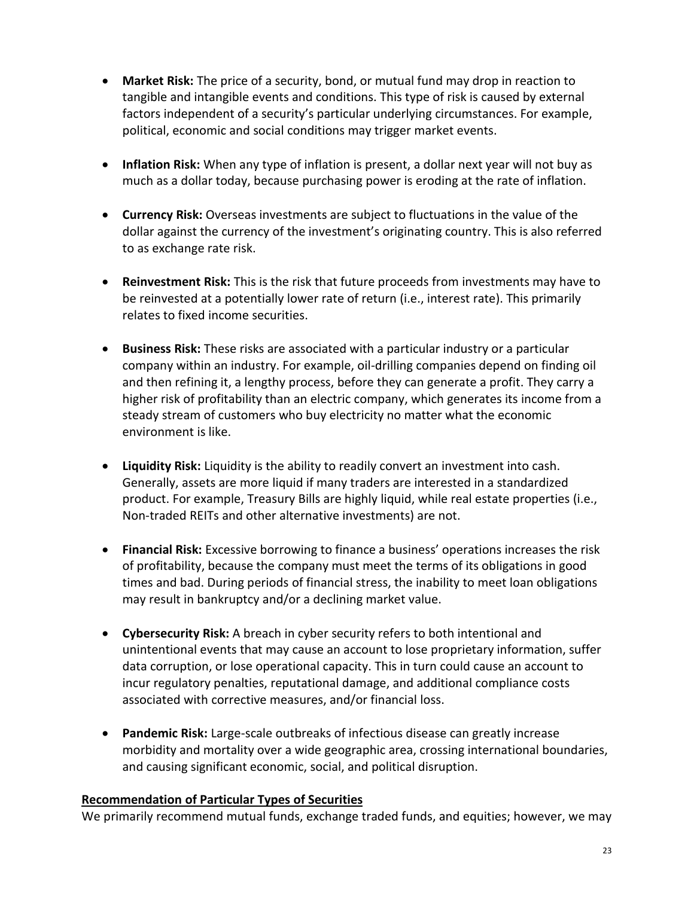- **Market Risk:** The price of a security, bond, or mutual fund may drop in reaction to tangible and intangible events and conditions. This type of risk is caused by external factors independent of a security's particular underlying circumstances. For example, political, economic and social conditions may trigger market events.
- **Inflation Risk:** When any type of inflation is present, a dollar next year will not buy as much as a dollar today, because purchasing power is eroding at the rate of inflation.
- **Currency Risk:** Overseas investments are subject to fluctuations in the value of the dollar against the currency of the investment's originating country. This is also referred to as exchange rate risk.
- **Reinvestment Risk:** This is the risk that future proceeds from investments may have to be reinvested at a potentially lower rate of return (i.e., interest rate). This primarily relates to fixed income securities.
- **Business Risk:** These risks are associated with a particular industry or a particular company within an industry. For example, oil-drilling companies depend on finding oil and then refining it, a lengthy process, before they can generate a profit. They carry a higher risk of profitability than an electric company, which generates its income from a steady stream of customers who buy electricity no matter what the economic environment is like.
- **Liquidity Risk:** Liquidity is the ability to readily convert an investment into cash. Generally, assets are more liquid if many traders are interested in a standardized product. For example, Treasury Bills are highly liquid, while real estate properties (i.e., Non-traded REITs and other alternative investments) are not.
- **Financial Risk:** Excessive borrowing to finance a business' operations increases the risk of profitability, because the company must meet the terms of its obligations in good times and bad. During periods of financial stress, the inability to meet loan obligations may result in bankruptcy and/or a declining market value.
- **Cybersecurity Risk:** A breach in cyber security refers to both intentional and unintentional events that may cause an account to lose proprietary information, suffer data corruption, or lose operational capacity. This in turn could cause an account to incur regulatory penalties, reputational damage, and additional compliance costs associated with corrective measures, and/or financial loss.
- **Pandemic Risk:** Large-scale outbreaks of infectious disease can greatly increase morbidity and mortality over a wide geographic area, crossing international boundaries, and causing significant economic, social, and political disruption.

#### **Recommendation of Particular Types of Securities**

We primarily recommend mutual funds, exchange traded funds, and equities; however, we may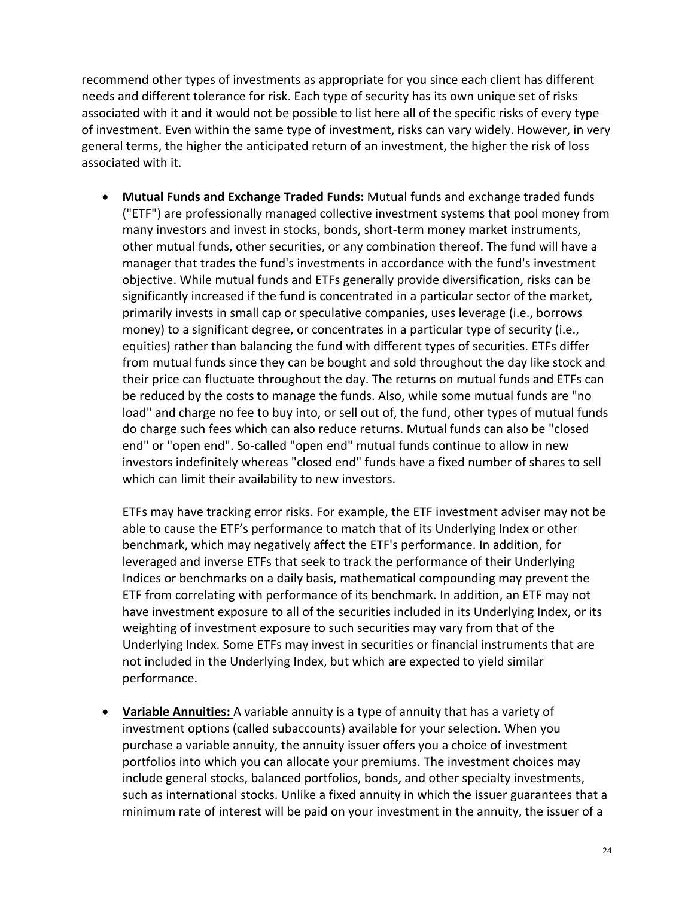recommend other types of investments as appropriate for you since each client has different needs and different tolerance for risk. Each type of security has its own unique set of risks associated with it and it would not be possible to list here all of the specific risks of every type of investment. Even within the same type of investment, risks can vary widely. However, in very general terms, the higher the anticipated return of an investment, the higher the risk of loss associated with it.

• **Mutual Funds and Exchange Traded Funds:** Mutual funds and exchange traded funds ("ETF") are professionally managed collective investment systems that pool money from many investors and invest in stocks, bonds, short-term money market instruments, other mutual funds, other securities, or any combination thereof. The fund will have a manager that trades the fund's investments in accordance with the fund's investment objective. While mutual funds and ETFs generally provide diversification, risks can be significantly increased if the fund is concentrated in a particular sector of the market, primarily invests in small cap or speculative companies, uses leverage (i.e., borrows money) to a significant degree, or concentrates in a particular type of security (i.e., equities) rather than balancing the fund with different types of securities. ETFs differ from mutual funds since they can be bought and sold throughout the day like stock and their price can fluctuate throughout the day. The returns on mutual funds and ETFs can be reduced by the costs to manage the funds. Also, while some mutual funds are "no load" and charge no fee to buy into, or sell out of, the fund, other types of mutual funds do charge such fees which can also reduce returns. Mutual funds can also be "closed end" or "open end". So-called "open end" mutual funds continue to allow in new investors indefinitely whereas "closed end" funds have a fixed number of shares to sell which can limit their availability to new investors.

ETFs may have tracking error risks. For example, the ETF investment adviser may not be able to cause the ETF's performance to match that of its Underlying Index or other benchmark, which may negatively affect the ETF's performance. In addition, for leveraged and inverse ETFs that seek to track the performance of their Underlying Indices or benchmarks on a daily basis, mathematical compounding may prevent the ETF from correlating with performance of its benchmark. In addition, an ETF may not have investment exposure to all of the securities included in its Underlying Index, or its weighting of investment exposure to such securities may vary from that of the Underlying Index. Some ETFs may invest in securities or financial instruments that are not included in the Underlying Index, but which are expected to yield similar performance.

• **Variable Annuities:** A variable annuity is a type of annuity that has a variety of investment options (called subaccounts) available for your selection. When you purchase a variable annuity, the annuity issuer offers you a choice of investment portfolios into which you can allocate your premiums. The investment choices may include general stocks, balanced portfolios, bonds, and other specialty investments, such as international stocks. Unlike a fixed annuity in which the issuer guarantees that a minimum rate of interest will be paid on your investment in the annuity, the issuer of a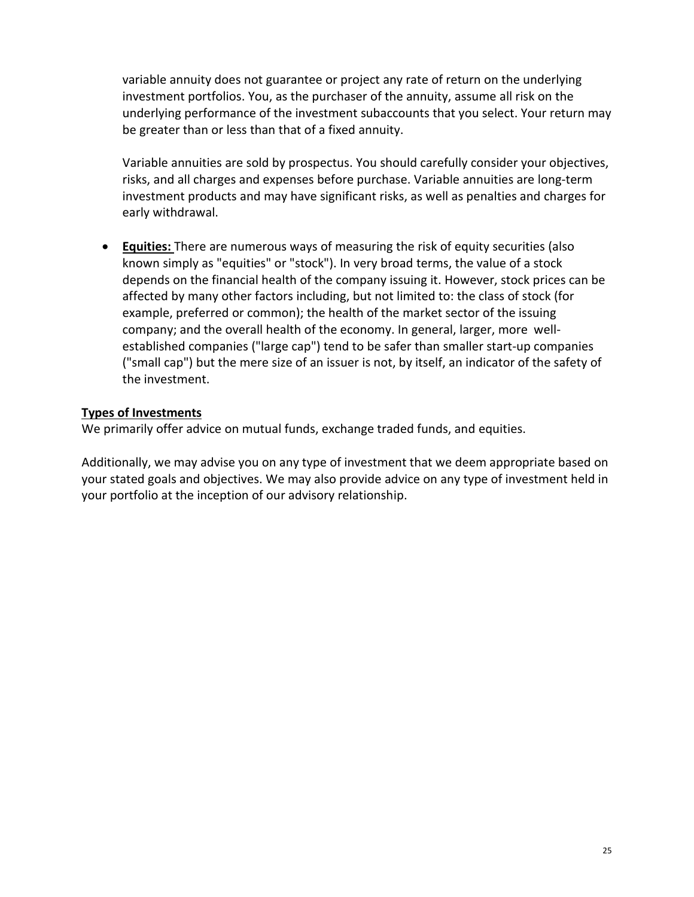variable annuity does not guarantee or project any rate of return on the underlying investment portfolios. You, as the purchaser of the annuity, assume all risk on the underlying performance of the investment subaccounts that you select. Your return may be greater than or less than that of a fixed annuity.

Variable annuities are sold by prospectus. You should carefully consider your objectives, risks, and all charges and expenses before purchase. Variable annuities are long-term investment products and may have significant risks, as well as penalties and charges for early withdrawal.

• **Equities:** There are numerous ways of measuring the risk of equity securities (also known simply as "equities" or "stock"). In very broad terms, the value of a stock depends on the financial health of the company issuing it. However, stock prices can be affected by many other factors including, but not limited to: the class of stock (for example, preferred or common); the health of the market sector of the issuing company; and the overall health of the economy. In general, larger, more wellestablished companies ("large cap") tend to be safer than smaller start-up companies ("small cap") but the mere size of an issuer is not, by itself, an indicator of the safety of the investment.

#### **Types of Investments**

We primarily offer advice on mutual funds, exchange traded funds, and equities.

Additionally, we may advise you on any type of investment that we deem appropriate based on your stated goals and objectives. We may also provide advice on any type of investment held in your portfolio at the inception of our advisory relationship.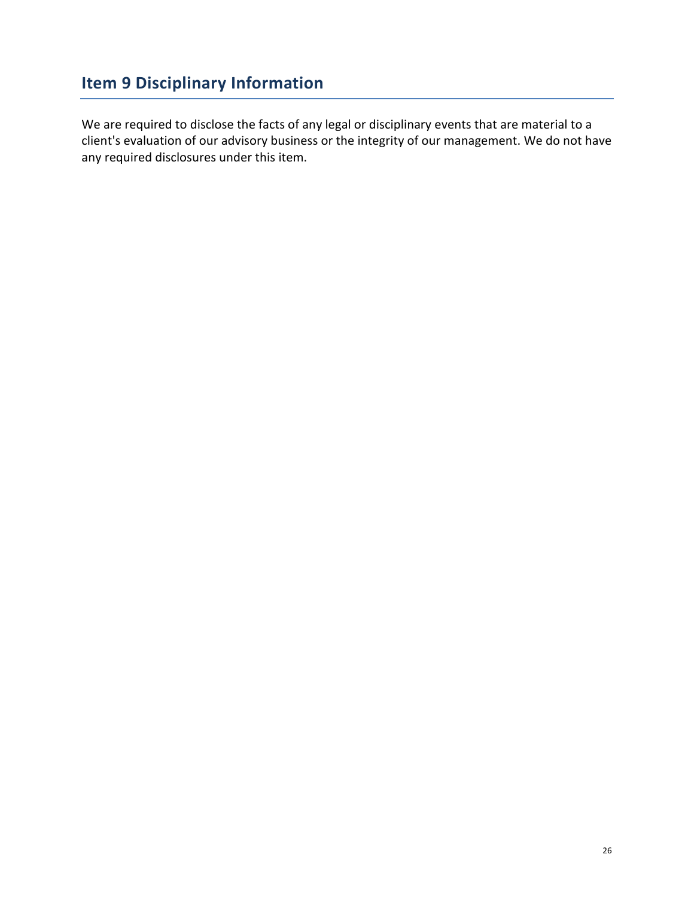# <span id="page-25-0"></span>**Item 9 Disciplinary Information**

We are required to disclose the facts of any legal or disciplinary events that are material to a client's evaluation of our advisory business or the integrity of our management. We do not have any required disclosures under this item.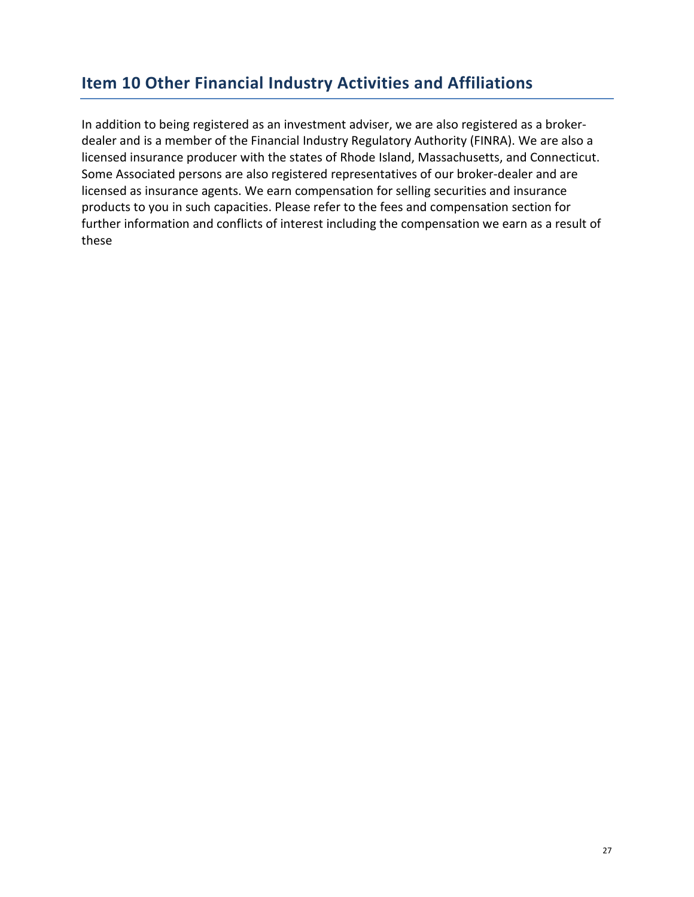# <span id="page-26-0"></span>**Item 10 Other Financial Industry Activities and Affiliations**

In addition to being registered as an investment adviser, we are also registered as a brokerdealer and is a member of the Financial Industry Regulatory Authority (FINRA). We are also a licensed insurance producer with the states of Rhode Island, Massachusetts, and Connecticut. Some Associated persons are also registered representatives of our broker-dealer and are licensed as insurance agents. We earn compensation for selling securities and insurance products to you in such capacities. Please refer to the fees and compensation section for further information and conflicts of interest including the compensation we earn as a result of these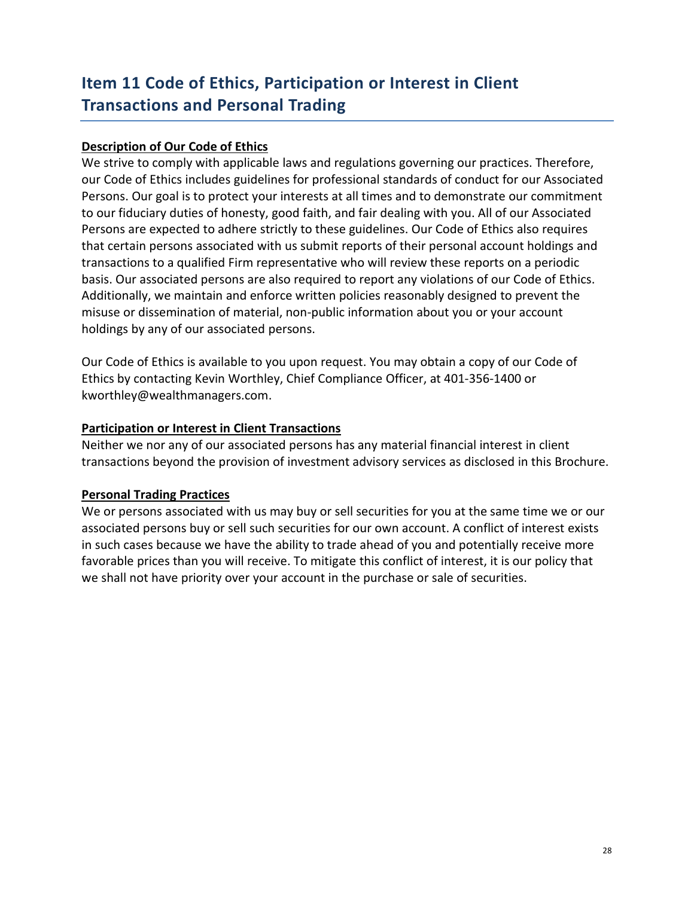# <span id="page-27-0"></span>**Item 11 Code of Ethics, Participation or Interest in Client Transactions and Personal Trading**

#### **Description of Our Code of Ethics**

We strive to comply with applicable laws and regulations governing our practices. Therefore, our Code of Ethics includes guidelines for professional standards of conduct for our Associated Persons. Our goal is to protect your interests at all times and to demonstrate our commitment to our fiduciary duties of honesty, good faith, and fair dealing with you. All of our Associated Persons are expected to adhere strictly to these guidelines. Our Code of Ethics also requires that certain persons associated with us submit reports of their personal account holdings and transactions to a qualified Firm representative who will review these reports on a periodic basis. Our associated persons are also required to report any violations of our Code of Ethics. Additionally, we maintain and enforce written policies reasonably designed to prevent the misuse or dissemination of material, non-public information about you or your account holdings by any of our associated persons.

Our Code of Ethics is available to you upon request. You may obtain a copy of our Code of Ethics by contacting Kevin Worthley, Chief Compliance Officer, at 401-356-1400 or kworthley@wealthmanagers.com.

#### **Participation or Interest in Client Transactions**

Neither we nor any of our associated persons has any material financial interest in client transactions beyond the provision of investment advisory services as disclosed in this Brochure.

#### **Personal Trading Practices**

We or persons associated with us may buy or sell securities for you at the same time we or our associated persons buy or sell such securities for our own account. A conflict of interest exists in such cases because we have the ability to trade ahead of you and potentially receive more favorable prices than you will receive. To mitigate this conflict of interest, it is our policy that we shall not have priority over your account in the purchase or sale of securities.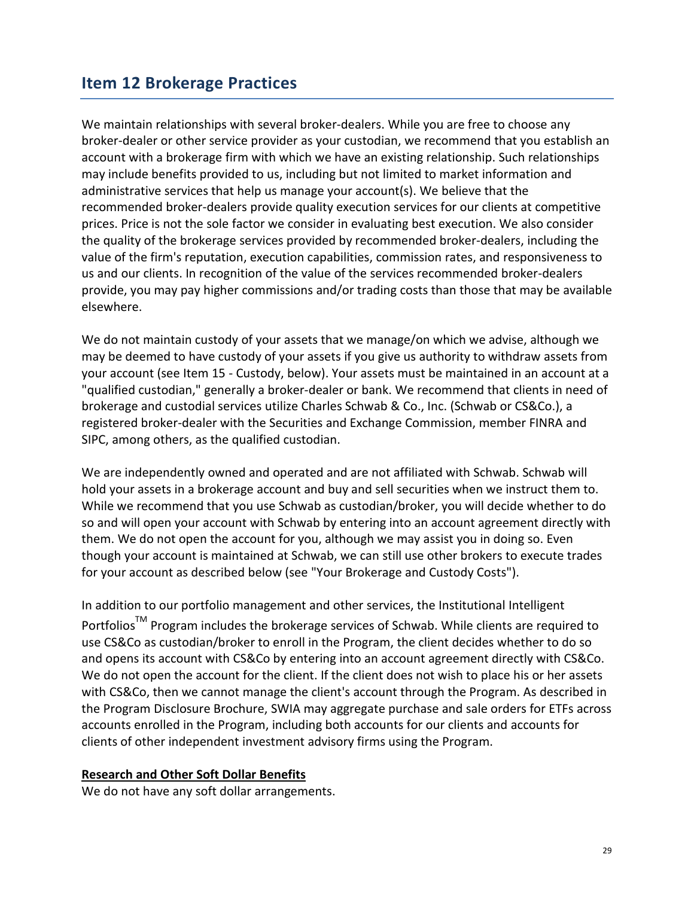### <span id="page-28-0"></span>**Item 12 Brokerage Practices**

We maintain relationships with several broker-dealers. While you are free to choose any broker-dealer or other service provider as your custodian, we recommend that you establish an account with a brokerage firm with which we have an existing relationship. Such relationships may include benefits provided to us, including but not limited to market information and administrative services that help us manage your account(s). We believe that the recommended broker-dealers provide quality execution services for our clients at competitive prices. Price is not the sole factor we consider in evaluating best execution. We also consider the quality of the brokerage services provided by recommended broker-dealers, including the value of the firm's reputation, execution capabilities, commission rates, and responsiveness to us and our clients. In recognition of the value of the services recommended broker-dealers provide, you may pay higher commissions and/or trading costs than those that may be available elsewhere.

We do not maintain custody of your assets that we manage/on which we advise, although we may be deemed to have custody of your assets if you give us authority to withdraw assets from your account (see Item 15 - Custody, below). Your assets must be maintained in an account at a "qualified custodian," generally a broker-dealer or bank. We recommend that clients in need of brokerage and custodial services utilize Charles Schwab & Co., Inc. (Schwab or CS&Co.), a registered broker-dealer with the Securities and Exchange Commission, member FINRA and SIPC, among others, as the qualified custodian.

We are independently owned and operated and are not affiliated with Schwab. Schwab will hold your assets in a brokerage account and buy and sell securities when we instruct them to. While we recommend that you use Schwab as custodian/broker, you will decide whether to do so and will open your account with Schwab by entering into an account agreement directly with them. We do not open the account for you, although we may assist you in doing so. Even though your account is maintained at Schwab, we can still use other brokers to execute trades for your account as described below (see "Your Brokerage and Custody Costs").

In addition to our portfolio management and other services, the Institutional Intelligent Portfolios<sup>™</sup> Program includes the brokerage services of Schwab. While clients are required to use CS&Co as custodian/broker to enroll in the Program, the client decides whether to do so and opens its account with CS&Co by entering into an account agreement directly with CS&Co. We do not open the account for the client. If the client does not wish to place his or her assets with CS&Co, then we cannot manage the client's account through the Program. As described in the Program Disclosure Brochure, SWIA may aggregate purchase and sale orders for ETFs across accounts enrolled in the Program, including both accounts for our clients and accounts for clients of other independent investment advisory firms using the Program.

#### **Research and Other Soft Dollar Benefits**

We do not have any soft dollar arrangements.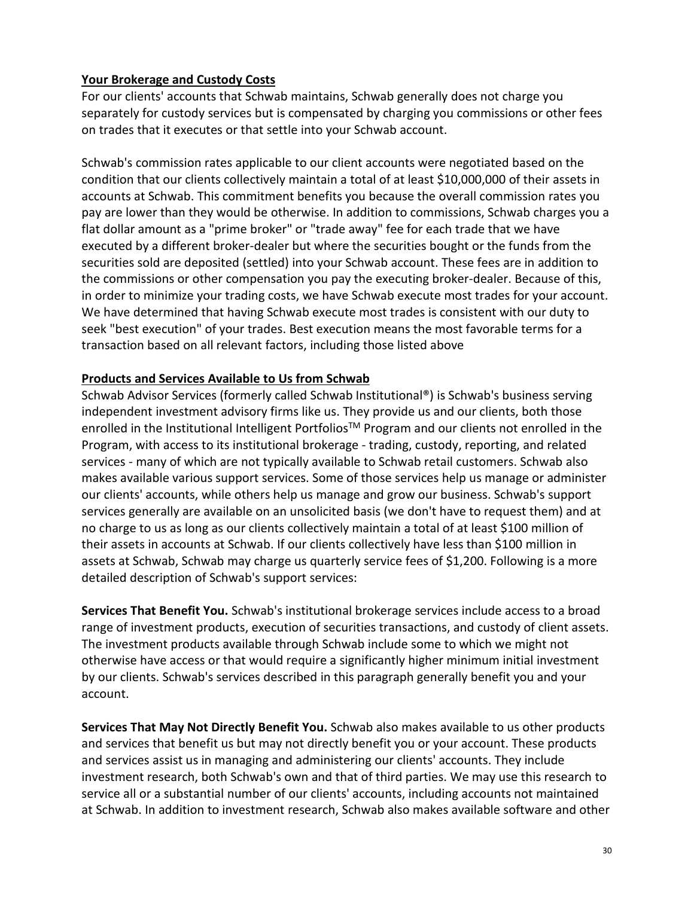#### **Your Brokerage and Custody Costs**

For our clients' accounts that Schwab maintains, Schwab generally does not charge you separately for custody services but is compensated by charging you commissions or other fees on trades that it executes or that settle into your Schwab account.

Schwab's commission rates applicable to our client accounts were negotiated based on the condition that our clients collectively maintain a total of at least \$10,000,000 of their assets in accounts at Schwab. This commitment benefits you because the overall commission rates you pay are lower than they would be otherwise. In addition to commissions, Schwab charges you a flat dollar amount as a "prime broker" or "trade away" fee for each trade that we have executed by a different broker-dealer but where the securities bought or the funds from the securities sold are deposited (settled) into your Schwab account. These fees are in addition to the commissions or other compensation you pay the executing broker-dealer. Because of this, in order to minimize your trading costs, we have Schwab execute most trades for your account. We have determined that having Schwab execute most trades is consistent with our duty to seek "best execution" of your trades. Best execution means the most favorable terms for a transaction based on all relevant factors, including those listed above

### **Products and Services Available to Us from Schwab**

Schwab Advisor Services (formerly called Schwab Institutional®) is Schwab's business serving independent investment advisory firms like us. They provide us and our clients, both those enrolled in the Institutional Intelligent Portfolios<sup>™</sup> Program and our clients not enrolled in the Program, with access to its institutional brokerage - trading, custody, reporting, and related services - many of which are not typically available to Schwab retail customers. Schwab also makes available various support services. Some of those services help us manage or administer our clients' accounts, while others help us manage and grow our business. Schwab's support services generally are available on an unsolicited basis (we don't have to request them) and at no charge to us as long as our clients collectively maintain a total of at least \$100 million of their assets in accounts at Schwab. If our clients collectively have less than \$100 million in assets at Schwab, Schwab may charge us quarterly service fees of \$1,200. Following is a more detailed description of Schwab's support services:

**Services That Benefit You.** Schwab's institutional brokerage services include access to a broad range of investment products, execution of securities transactions, and custody of client assets. The investment products available through Schwab include some to which we might not otherwise have access or that would require a significantly higher minimum initial investment by our clients. Schwab's services described in this paragraph generally benefit you and your account.

**Services That May Not Directly Benefit You.** Schwab also makes available to us other products and services that benefit us but may not directly benefit you or your account. These products and services assist us in managing and administering our clients' accounts. They include investment research, both Schwab's own and that of third parties. We may use this research to service all or a substantial number of our clients' accounts, including accounts not maintained at Schwab. In addition to investment research, Schwab also makes available software and other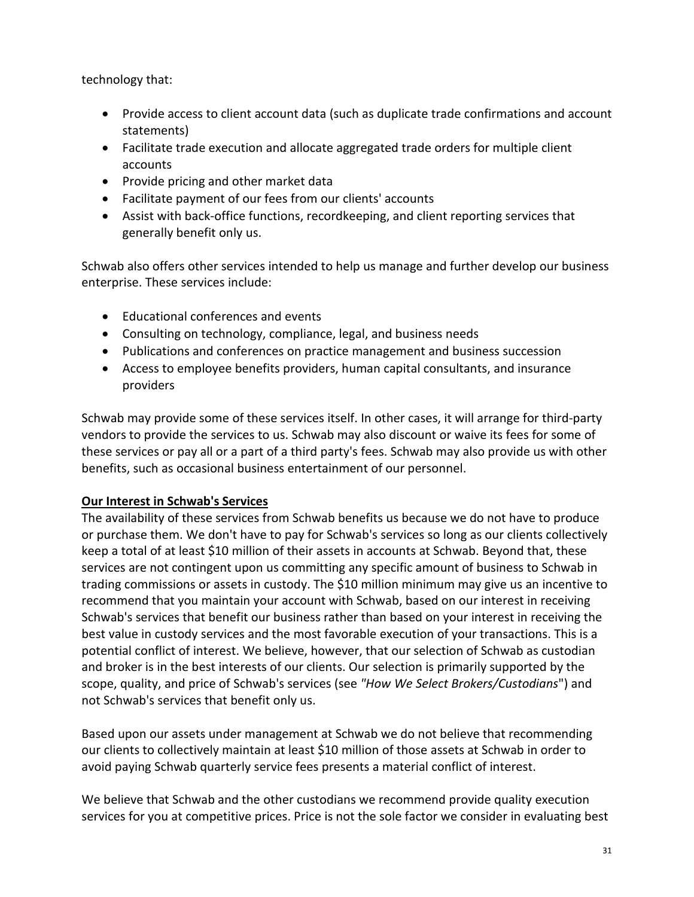technology that:

- Provide access to client account data (such as duplicate trade confirmations and account statements)
- Facilitate trade execution and allocate aggregated trade orders for multiple client accounts
- Provide pricing and other market data
- Facilitate payment of our fees from our clients' accounts
- Assist with back-office functions, recordkeeping, and client reporting services that generally benefit only us.

Schwab also offers other services intended to help us manage and further develop our business enterprise. These services include:

- Educational conferences and events
- Consulting on technology, compliance, legal, and business needs
- Publications and conferences on practice management and business succession
- Access to employee benefits providers, human capital consultants, and insurance providers

Schwab may provide some of these services itself. In other cases, it will arrange for third-party vendors to provide the services to us. Schwab may also discount or waive its fees for some of these services or pay all or a part of a third party's fees. Schwab may also provide us with other benefits, such as occasional business entertainment of our personnel.

### **Our Interest in Schwab's Services**

The availability of these services from Schwab benefits us because we do not have to produce or purchase them. We don't have to pay for Schwab's services so long as our clients collectively keep a total of at least \$10 million of their assets in accounts at Schwab. Beyond that, these services are not contingent upon us committing any specific amount of business to Schwab in trading commissions or assets in custody. The \$10 million minimum may give us an incentive to recommend that you maintain your account with Schwab, based on our interest in receiving Schwab's services that benefit our business rather than based on your interest in receiving the best value in custody services and the most favorable execution of your transactions. This is a potential conflict of interest. We believe, however, that our selection of Schwab as custodian and broker is in the best interests of our clients. Our selection is primarily supported by the scope, quality, and price of Schwab's services (see *"How We Select Brokers/Custodians*") and not Schwab's services that benefit only us.

Based upon our assets under management at Schwab we do not believe that recommending our clients to collectively maintain at least \$10 million of those assets at Schwab in order to avoid paying Schwab quarterly service fees presents a material conflict of interest.

We believe that Schwab and the other custodians we recommend provide quality execution services for you at competitive prices. Price is not the sole factor we consider in evaluating best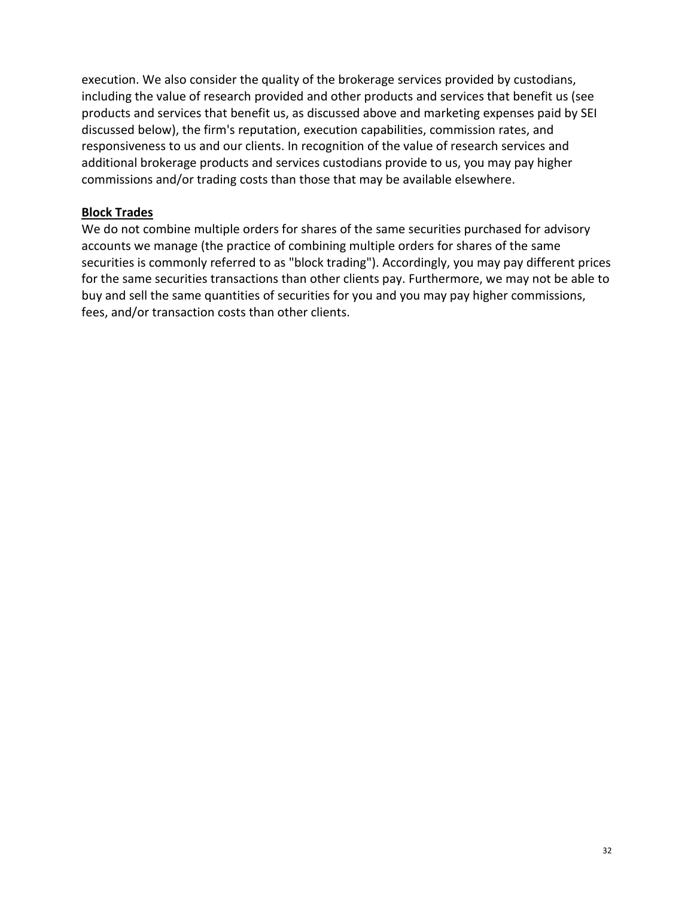execution. We also consider the quality of the brokerage services provided by custodians, including the value of research provided and other products and services that benefit us (see products and services that benefit us, as discussed above and marketing expenses paid by SEI discussed below), the firm's reputation, execution capabilities, commission rates, and responsiveness to us and our clients. In recognition of the value of research services and additional brokerage products and services custodians provide to us, you may pay higher commissions and/or trading costs than those that may be available elsewhere.

#### **Block Trades**

We do not combine multiple orders for shares of the same securities purchased for advisory accounts we manage (the practice of combining multiple orders for shares of the same securities is commonly referred to as "block trading"). Accordingly, you may pay different prices for the same securities transactions than other clients pay. Furthermore, we may not be able to buy and sell the same quantities of securities for you and you may pay higher commissions, fees, and/or transaction costs than other clients.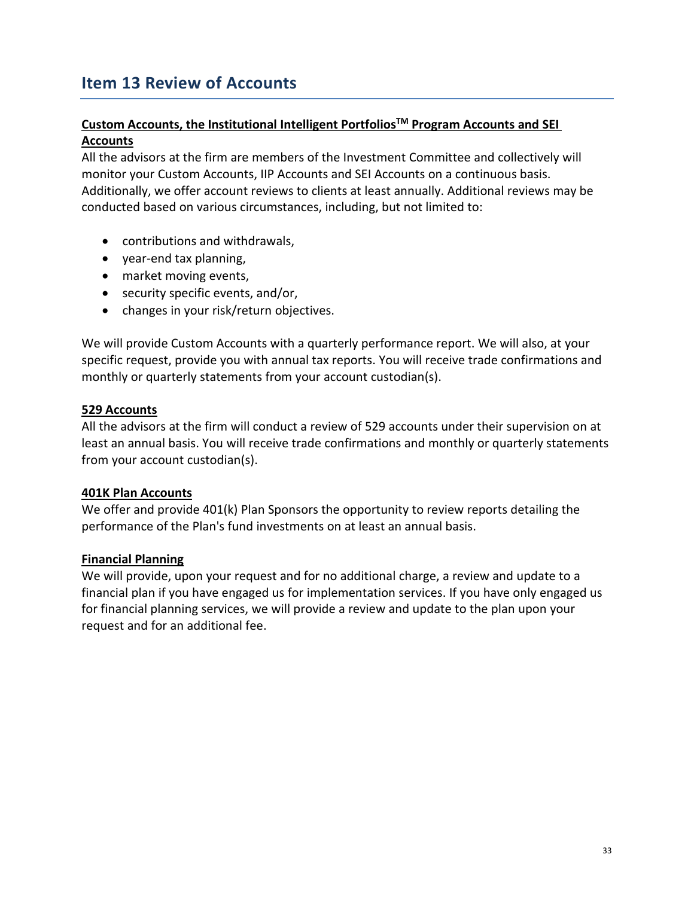# <span id="page-32-0"></span>**Item 13 Review of Accounts**

### **Custom Accounts, the Institutional Intelligent Portfolios TM Program Accounts and SEI Accounts**

All the advisors at the firm are members of the Investment Committee and collectively will monitor your Custom Accounts, IIP Accounts and SEI Accounts on a continuous basis. Additionally, we offer account reviews to clients at least annually. Additional reviews may be conducted based on various circumstances, including, but not limited to:

- contributions and withdrawals,
- year-end tax planning,
- market moving events,
- security specific events, and/or,
- changes in your risk/return objectives.

We will provide Custom Accounts with a quarterly performance report. We will also, at your specific request, provide you with annual tax reports. You will receive trade confirmations and monthly or quarterly statements from your account custodian(s).

#### **529 Accounts**

All the advisors at the firm will conduct a review of 529 accounts under their supervision on at least an annual basis. You will receive trade confirmations and monthly or quarterly statements from your account custodian(s).

#### **401K Plan Accounts**

We offer and provide 401(k) Plan Sponsors the opportunity to review reports detailing the performance of the Plan's fund investments on at least an annual basis.

#### **Financial Planning**

We will provide, upon your request and for no additional charge, a review and update to a financial plan if you have engaged us for implementation services. If you have only engaged us for financial planning services, we will provide a review and update to the plan upon your request and for an additional fee.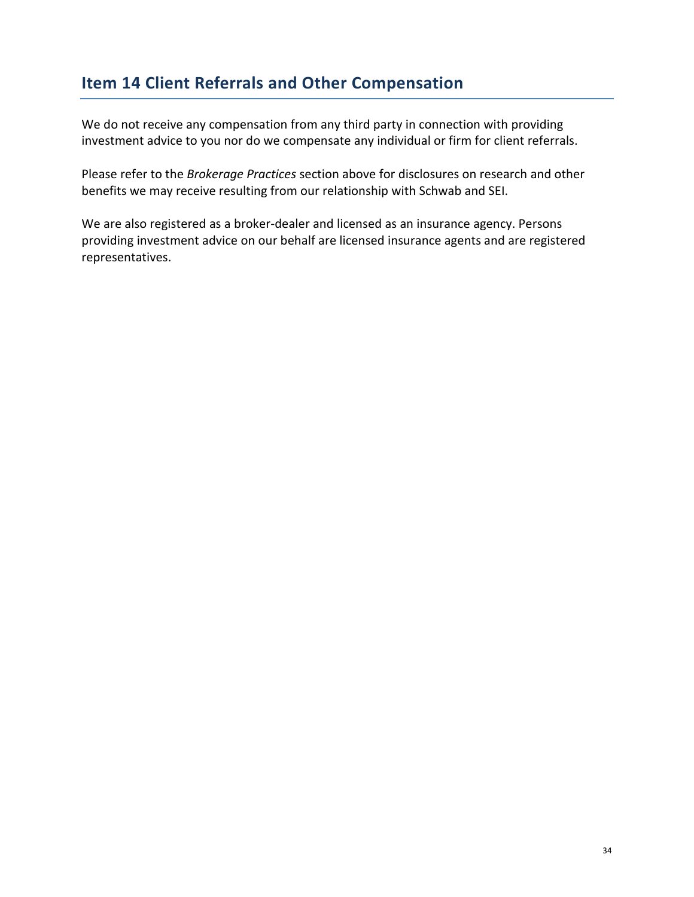# <span id="page-33-0"></span>**Item 14 Client Referrals and Other Compensation**

We do not receive any compensation from any third party in connection with providing investment advice to you nor do we compensate any individual or firm for client referrals.

Please refer to the *Brokerage Practices* section above for disclosures on research and other benefits we may receive resulting from our relationship with Schwab and SEI.

We are also registered as a broker-dealer and licensed as an insurance agency. Persons providing investment advice on our behalf are licensed insurance agents and are registered representatives.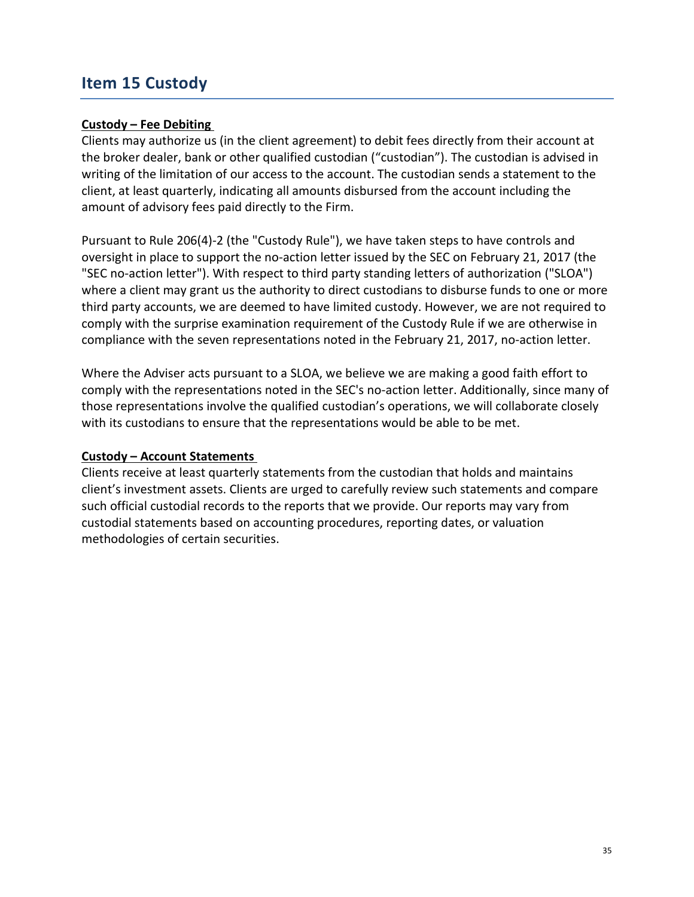### <span id="page-34-0"></span>**Item 15 Custody**

#### **Custody – Fee Debiting**

Clients may authorize us (in the client agreement) to debit fees directly from their account at the broker dealer, bank or other qualified custodian ("custodian"). The custodian is advised in writing of the limitation of our access to the account. The custodian sends a statement to the client, at least quarterly, indicating all amounts disbursed from the account including the amount of advisory fees paid directly to the Firm.

Pursuant to Rule 206(4)-2 (the "Custody Rule"), we have taken steps to have controls and oversight in place to support the no-action letter issued by the SEC on February 21, 2017 (the "SEC no-action letter"). With respect to third party standing letters of authorization ("SLOA") where a client may grant us the authority to direct custodians to disburse funds to one or more third party accounts, we are deemed to have limited custody. However, we are not required to comply with the surprise examination requirement of the Custody Rule if we are otherwise in compliance with the seven representations noted in the February 21, 2017, no-action letter.

Where the Adviser acts pursuant to a SLOA, we believe we are making a good faith effort to comply with the representations noted in the SEC's no-action letter. Additionally, since many of those representations involve the qualified custodian's operations, we will collaborate closely with its custodians to ensure that the representations would be able to be met.

#### **Custody – Account Statements**

Clients receive at least quarterly statements from the custodian that holds and maintains client's investment assets. Clients are urged to carefully review such statements and compare such official custodial records to the reports that we provide. Our reports may vary from custodial statements based on accounting procedures, reporting dates, or valuation methodologies of certain securities.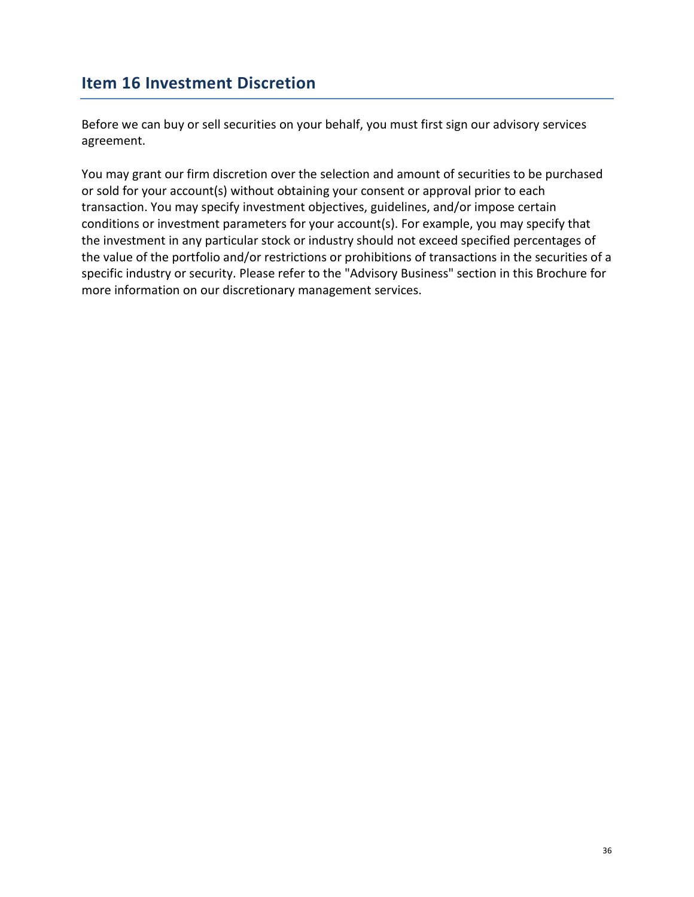### <span id="page-35-0"></span>**Item 16 Investment Discretion**

Before we can buy or sell securities on your behalf, you must first sign our advisory services agreement.

You may grant our firm discretion over the selection and amount of securities to be purchased or sold for your account(s) without obtaining your consent or approval prior to each transaction. You may specify investment objectives, guidelines, and/or impose certain conditions or investment parameters for your account(s). For example, you may specify that the investment in any particular stock or industry should not exceed specified percentages of the value of the portfolio and/or restrictions or prohibitions of transactions in the securities of a specific industry or security. Please refer to the "Advisory Business" section in this Brochure for more information on our discretionary management services.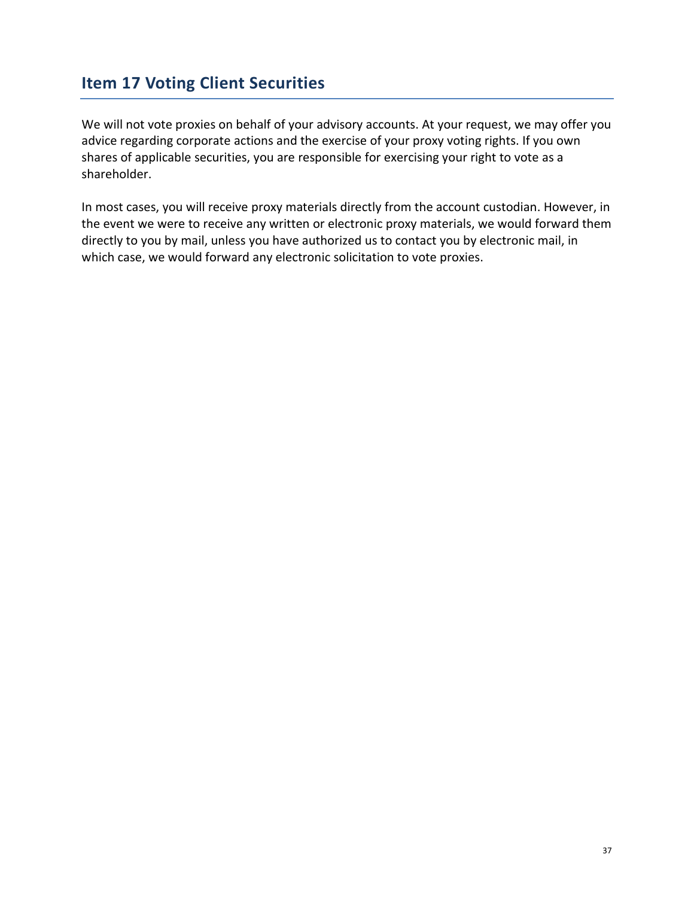### <span id="page-36-0"></span>**Item 17 Voting Client Securities**

We will not vote proxies on behalf of your advisory accounts. At your request, we may offer you advice regarding corporate actions and the exercise of your proxy voting rights. If you own shares of applicable securities, you are responsible for exercising your right to vote as a shareholder.

In most cases, you will receive proxy materials directly from the account custodian. However, in the event we were to receive any written or electronic proxy materials, we would forward them directly to you by mail, unless you have authorized us to contact you by electronic mail, in which case, we would forward any electronic solicitation to vote proxies.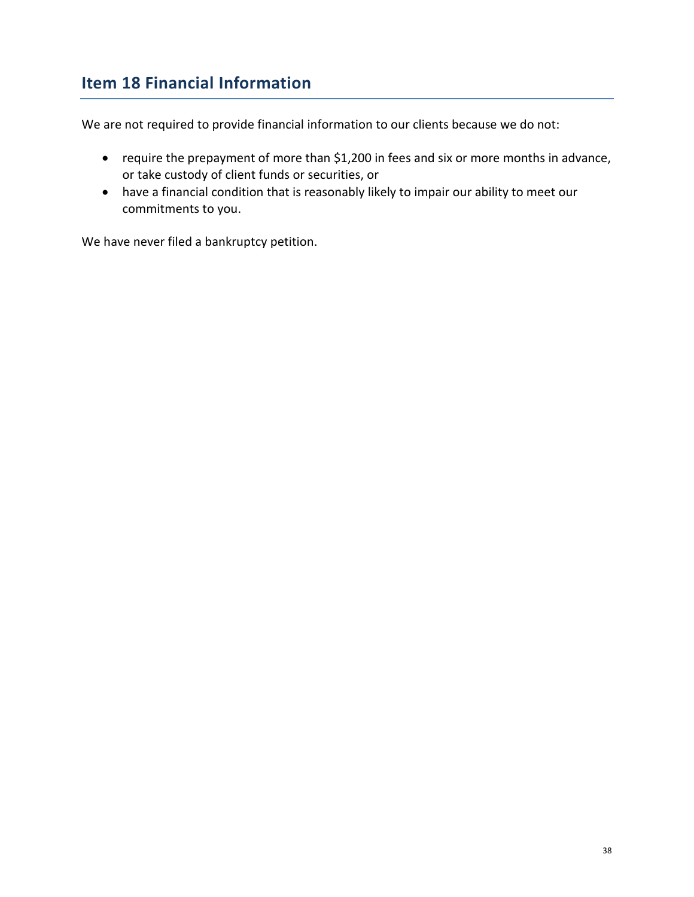# <span id="page-37-0"></span>**Item 18 Financial Information**

We are not required to provide financial information to our clients because we do not:

- require the prepayment of more than \$1,200 in fees and six or more months in advance, or take custody of client funds or securities, or
- have a financial condition that is reasonably likely to impair our ability to meet our commitments to you.

We have never filed a bankruptcy petition.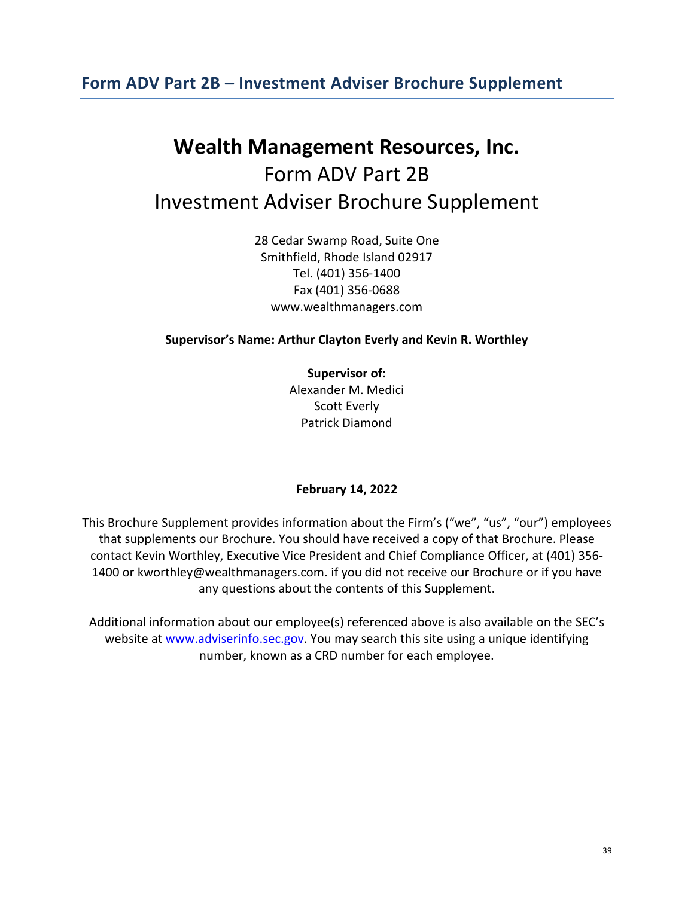### <span id="page-38-0"></span>**Form ADV Part 2B – Investment Adviser Brochure Supplement**

# **Wealth Management Resources, Inc.** Form ADV Part 2B Investment Adviser Brochure Supplement

28 Cedar Swamp Road, Suite One Smithfield, Rhode Island 02917 Tel. (401) 356-1400 Fax (401) 356-0688 www.wealthmanagers.com

#### **Supervisor's Name: Arthur Clayton Everly and Kevin R. Worthley**

**Supervisor of:** Alexander M. Medici Scott Everly Patrick Diamond

#### **February 14, 2022**

This Brochure Supplement provides information about the Firm's ("we", "us", "our") employees that supplements our Brochure. You should have received a copy of that Brochure. Please contact Kevin Worthley, Executive Vice President and Chief Compliance Officer, at (401) 356- 1400 or kworthley@wealthmanagers.com. if you did not receive our Brochure or if you have any questions about the contents of this Supplement.

Additional information about our employee(s) referenced above is also available on the SEC's website at [www.adviserinfo.sec.gov.](http://www.adviserinfo.sec.gov/) You may search this site using a unique identifying number, known as a CRD number for each employee.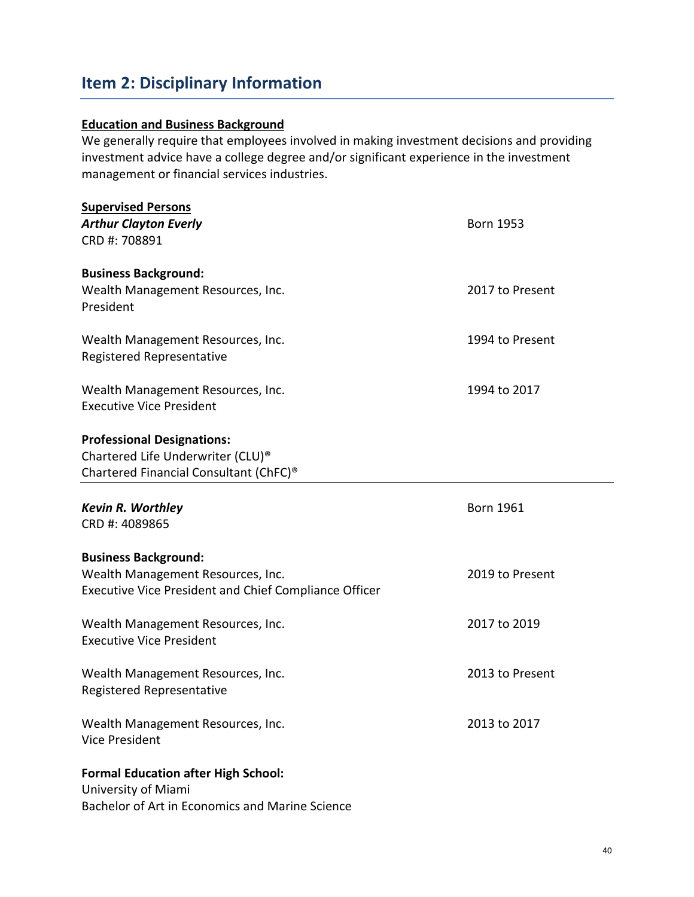## **Item 2: Disciplinary Information**

#### **Education and Business Background**

We generally require that employees involved in making investment decisions and providing investment advice have a college degree and/or significant experience in the investment management or financial services industries.

| <b>Supervised Persons</b><br><b>Arthur Clayton Everly</b><br>CRD #: 708891                                           | <b>Born 1953</b> |
|----------------------------------------------------------------------------------------------------------------------|------------------|
|                                                                                                                      |                  |
| <b>Business Background:</b>                                                                                          |                  |
| Wealth Management Resources, Inc.<br>President                                                                       | 2017 to Present  |
| Wealth Management Resources, Inc.<br>Registered Representative                                                       | 1994 to Present  |
| Wealth Management Resources, Inc.<br><b>Executive Vice President</b>                                                 | 1994 to 2017     |
| <b>Professional Designations:</b>                                                                                    |                  |
| Chartered Life Underwriter (CLU) <sup>®</sup>                                                                        |                  |
| Chartered Financial Consultant (ChFC) <sup>®</sup>                                                                   |                  |
| <b>Kevin R. Worthley</b><br>CRD #: 4089865                                                                           | <b>Born 1961</b> |
| <b>Business Background:</b>                                                                                          |                  |
| Wealth Management Resources, Inc.<br><b>Executive Vice President and Chief Compliance Officer</b>                    | 2019 to Present  |
| Wealth Management Resources, Inc.<br><b>Executive Vice President</b>                                                 | 2017 to 2019     |
| Wealth Management Resources, Inc.<br>Registered Representative                                                       | 2013 to Present  |
| Wealth Management Resources, Inc.<br><b>Vice President</b>                                                           | 2013 to 2017     |
| <b>Formal Education after High School:</b><br>University of Miami<br>Bachelor of Art in Economics and Marine Science |                  |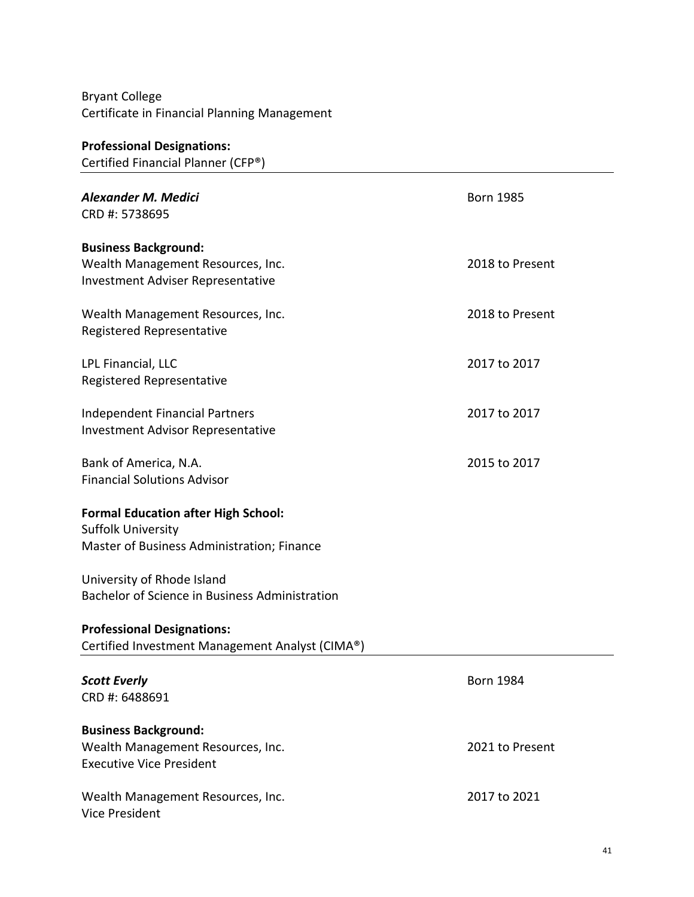Bryant College Certificate in Financial Planning Management

| <b>Professional Designations:</b>               |                  |
|-------------------------------------------------|------------------|
| Certified Financial Planner (CFP®)              |                  |
|                                                 |                  |
| Alexander M. Medici                             | <b>Born 1985</b> |
| CRD #: 5738695                                  |                  |
|                                                 |                  |
| <b>Business Background:</b>                     |                  |
| Wealth Management Resources, Inc.               | 2018 to Present  |
| <b>Investment Adviser Representative</b>        |                  |
| Wealth Management Resources, Inc.               | 2018 to Present  |
|                                                 |                  |
| Registered Representative                       |                  |
| LPL Financial, LLC                              | 2017 to 2017     |
| Registered Representative                       |                  |
|                                                 |                  |
| <b>Independent Financial Partners</b>           | 2017 to 2017     |
| <b>Investment Advisor Representative</b>        |                  |
|                                                 |                  |
| Bank of America, N.A.                           | 2015 to 2017     |
| <b>Financial Solutions Advisor</b>              |                  |
|                                                 |                  |
| <b>Formal Education after High School:</b>      |                  |
| <b>Suffolk University</b>                       |                  |
| Master of Business Administration; Finance      |                  |
|                                                 |                  |
| University of Rhode Island                      |                  |
| Bachelor of Science in Business Administration  |                  |
|                                                 |                  |
| <b>Professional Designations:</b>               |                  |
| Certified Investment Management Analyst (CIMA®) |                  |
|                                                 |                  |
| <b>Scott Everly</b>                             | <b>Born 1984</b> |
| CRD #: 6488691                                  |                  |
|                                                 |                  |
| <b>Business Background:</b>                     |                  |
| Wealth Management Resources, Inc.               | 2021 to Present  |
| <b>Executive Vice President</b>                 |                  |
| Wealth Management Resources, Inc.               | 2017 to 2021     |
| <b>Vice President</b>                           |                  |
|                                                 |                  |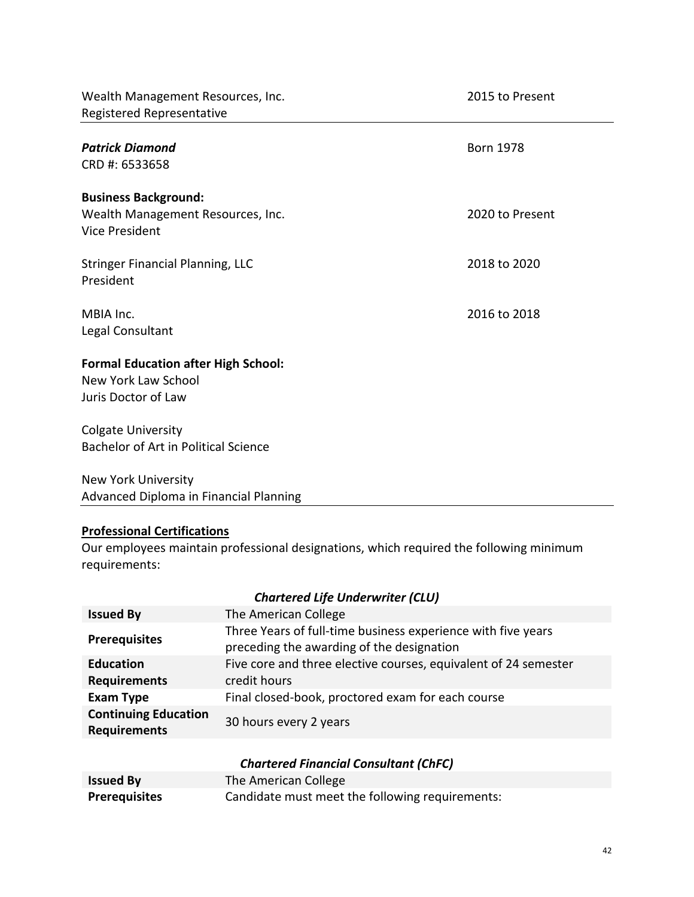| Wealth Management Resources, Inc.<br>Registered Representative                            | 2015 to Present  |
|-------------------------------------------------------------------------------------------|------------------|
| <b>Patrick Diamond</b><br>CRD #: 6533658                                                  | <b>Born 1978</b> |
| <b>Business Background:</b><br>Wealth Management Resources, Inc.<br><b>Vice President</b> | 2020 to Present  |
| <b>Stringer Financial Planning, LLC</b><br>President                                      | 2018 to 2020     |
| MBIA Inc.<br>Legal Consultant                                                             | 2016 to 2018     |
| <b>Formal Education after High School:</b><br>New York Law School<br>Juris Doctor of Law  |                  |
| <b>Colgate University</b><br>Bachelor of Art in Political Science                         |                  |
| <b>New York University</b>                                                                |                  |

Advanced Diploma in Financial Planning

### **Professional Certifications**

Our employees maintain professional designations, which required the following minimum requirements:

### *Chartered Life Underwriter (CLU)*

| <b>Issued By</b>                                   | The American College                                                                                      |
|----------------------------------------------------|-----------------------------------------------------------------------------------------------------------|
| <b>Prerequisites</b>                               | Three Years of full-time business experience with five years<br>preceding the awarding of the designation |
| <b>Education</b>                                   | Five core and three elective courses, equivalent of 24 semester                                           |
| <b>Requirements</b>                                | credit hours                                                                                              |
| <b>Exam Type</b>                                   | Final closed-book, proctored exam for each course                                                         |
| <b>Continuing Education</b><br><b>Requirements</b> | 30 hours every 2 years                                                                                    |

### *Chartered Financial Consultant (ChFC)*

| <b>Issued By</b>     | The American College                            |
|----------------------|-------------------------------------------------|
| <b>Prerequisites</b> | Candidate must meet the following requirements: |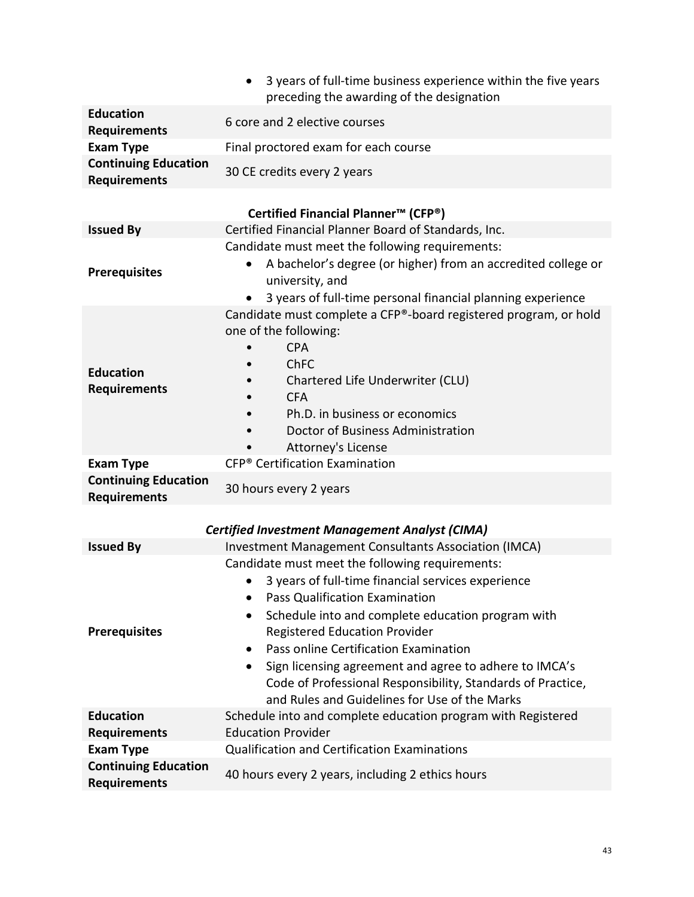|                                                    | 3 years of full-time business experience within the five years<br>$\bullet$<br>preceding the awarding of the designation                                                                                                                                                  |
|----------------------------------------------------|---------------------------------------------------------------------------------------------------------------------------------------------------------------------------------------------------------------------------------------------------------------------------|
| <b>Education</b><br><b>Requirements</b>            | 6 core and 2 elective courses                                                                                                                                                                                                                                             |
| <b>Exam Type</b>                                   | Final proctored exam for each course                                                                                                                                                                                                                                      |
| <b>Continuing Education</b><br><b>Requirements</b> | 30 CE credits every 2 years                                                                                                                                                                                                                                               |
|                                                    | Certified Financial Planner <sup>™</sup> (CFP <sup>®</sup> )                                                                                                                                                                                                              |
| <b>Issued By</b>                                   | Certified Financial Planner Board of Standards, Inc.                                                                                                                                                                                                                      |
| <b>Prerequisites</b>                               | Candidate must meet the following requirements:<br>A bachelor's degree (or higher) from an accredited college or<br>university, and<br>3 years of full-time personal financial planning experience                                                                        |
| <b>Education</b><br><b>Requirements</b>            | Candidate must complete a CFP®-board registered program, or hold<br>one of the following:<br><b>CPA</b><br><b>ChFC</b><br>Chartered Life Underwriter (CLU)<br><b>CFA</b><br>Ph.D. in business or economics<br>Doctor of Business Administration<br>Attorney's License     |
| <b>Exam Type</b>                                   | CFP <sup>®</sup> Certification Examination                                                                                                                                                                                                                                |
| <b>Continuing Education</b><br><b>Requirements</b> | 30 hours every 2 years                                                                                                                                                                                                                                                    |
|                                                    | <b>Certified Investment Management Analyst (CIMA)</b>                                                                                                                                                                                                                     |
| <b>Issued By</b>                                   | Investment Management Consultants Association (IMCA)                                                                                                                                                                                                                      |
| <b>Prerequisites</b>                               | Candidate must meet the following requirements:<br>3 years of full-time financial services experience<br><b>Pass Qualification Examination</b><br>$\bullet$<br>Schedule into and complete education program with<br>$\bullet$                                             |
|                                                    | <b>Registered Education Provider</b><br>Pass online Certification Examination<br>٠<br>Sign licensing agreement and agree to adhere to IMCA's<br>$\bullet$<br>Code of Professional Responsibility, Standards of Practice,<br>and Rules and Guidelines for Use of the Marks |
| <b>Education</b><br><b>Requirements</b>            | Schedule into and complete education program with Registered<br><b>Education Provider</b>                                                                                                                                                                                 |
| <b>Exam Type</b>                                   | <b>Qualification and Certification Examinations</b>                                                                                                                                                                                                                       |
| <b>Continuing Education</b><br><b>Requirements</b> | 40 hours every 2 years, including 2 ethics hours                                                                                                                                                                                                                          |